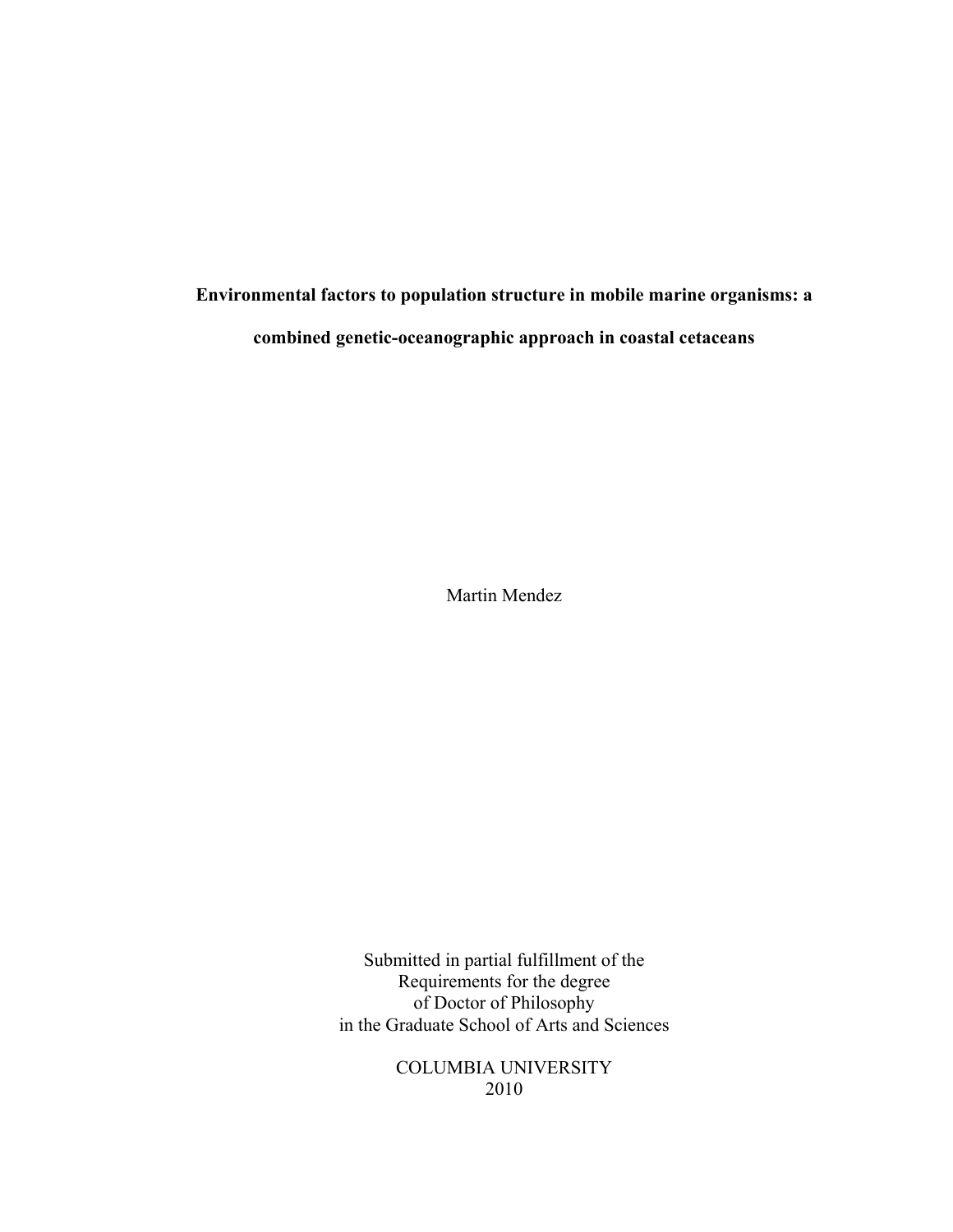**Environmental factors to population structure in mobile marine organisms: a combined genetic-oceanographic approach in coastal cetaceans**

Martin Mendez

Submitted in partial fulfillment of the Requirements for the degree of Doctor of Philosophy in the Graduate School of Arts and Sciences

> COLUMBIA UNIVERSITY 2010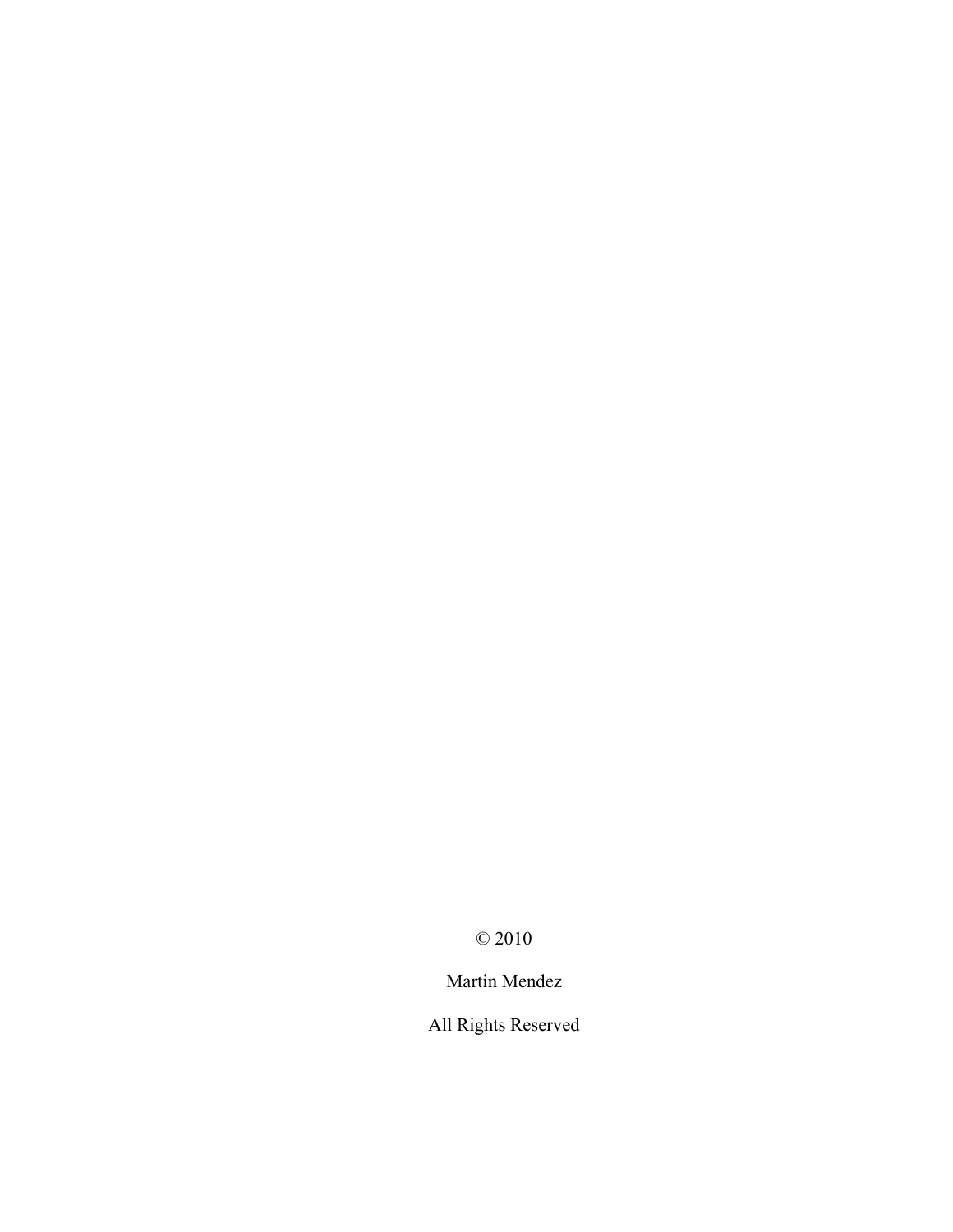© 2010

Martin Mendez

All Rights Reserved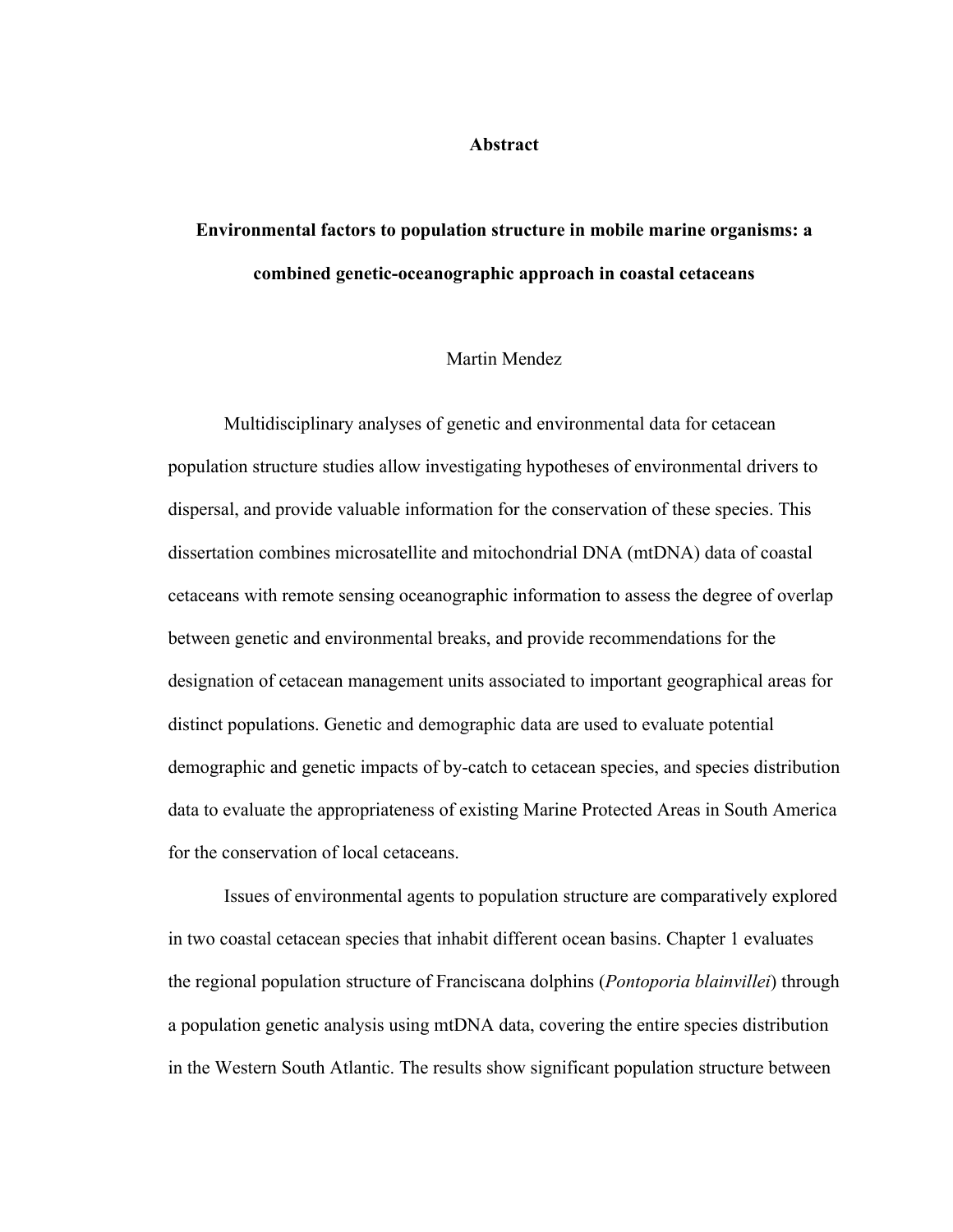#### **Abstract**

# **Environmental factors to population structure in mobile marine organisms: a combined genetic-oceanographic approach in coastal cetaceans**

#### Martin Mendez

Multidisciplinary analyses of genetic and environmental data for cetacean population structure studies allow investigating hypotheses of environmental drivers to dispersal, and provide valuable information for the conservation of these species. This dissertation combines microsatellite and mitochondrial DNA (mtDNA) data of coastal cetaceans with remote sensing oceanographic information to assess the degree of overlap between genetic and environmental breaks, and provide recommendations for the designation of cetacean management units associated to important geographical areas for distinct populations. Genetic and demographic data are used to evaluate potential demographic and genetic impacts of by-catch to cetacean species, and species distribution data to evaluate the appropriateness of existing Marine Protected Areas in South America for the conservation of local cetaceans.

Issues of environmental agents to population structure are comparatively explored in two coastal cetacean species that inhabit different ocean basins. Chapter 1 evaluates the regional population structure of Franciscana dolphins (*Pontoporia blainvillei*) through a population genetic analysis using mtDNA data, covering the entire species distribution in the Western South Atlantic. The results show significant population structure between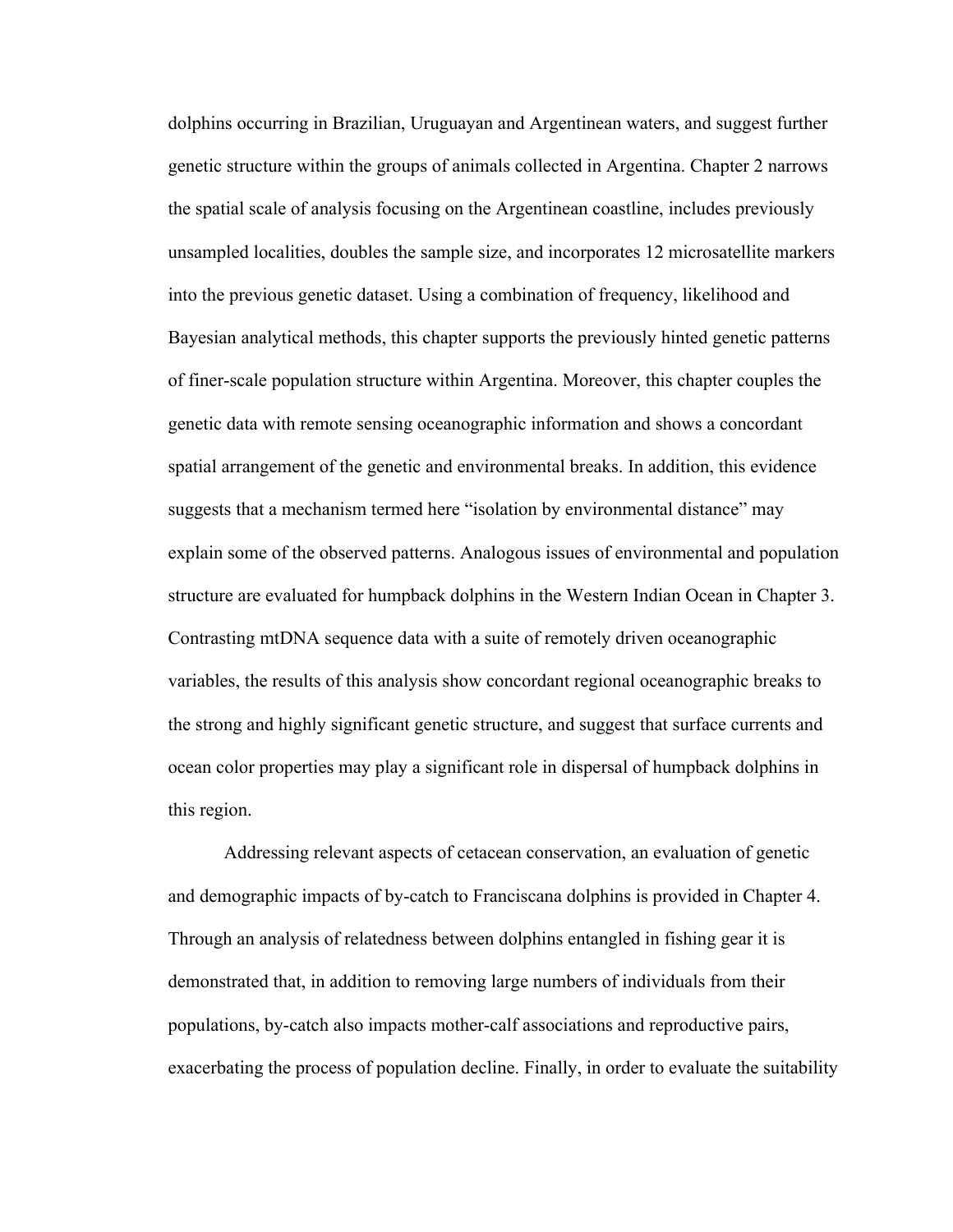dolphins occurring in Brazilian, Uruguayan and Argentinean waters, and suggest further genetic structure within the groups of animals collected in Argentina. Chapter 2 narrows the spatial scale of analysis focusing on the Argentinean coastline, includes previously unsampled localities, doubles the sample size, and incorporates 12 microsatellite markers into the previous genetic dataset. Using a combination of frequency, likelihood and Bayesian analytical methods, this chapter supports the previously hinted genetic patterns of finer-scale population structure within Argentina. Moreover, this chapter couples the genetic data with remote sensing oceanographic information and shows a concordant spatial arrangement of the genetic and environmental breaks. In addition, this evidence suggests that a mechanism termed here "isolation by environmental distance" may explain some of the observed patterns. Analogous issues of environmental and population structure are evaluated for humpback dolphins in the Western Indian Ocean in Chapter 3. Contrasting mtDNA sequence data with a suite of remotely driven oceanographic variables, the results of this analysis show concordant regional oceanographic breaks to the strong and highly significant genetic structure, and suggest that surface currents and ocean color properties may play a significant role in dispersal of humpback dolphins in this region.

Addressing relevant aspects of cetacean conservation, an evaluation of genetic and demographic impacts of by-catch to Franciscana dolphins is provided in Chapter 4. Through an analysis of relatedness between dolphins entangled in fishing gear it is demonstrated that, in addition to removing large numbers of individuals from their populations, by-catch also impacts mother-calf associations and reproductive pairs, exacerbating the process of population decline. Finally, in order to evaluate the suitability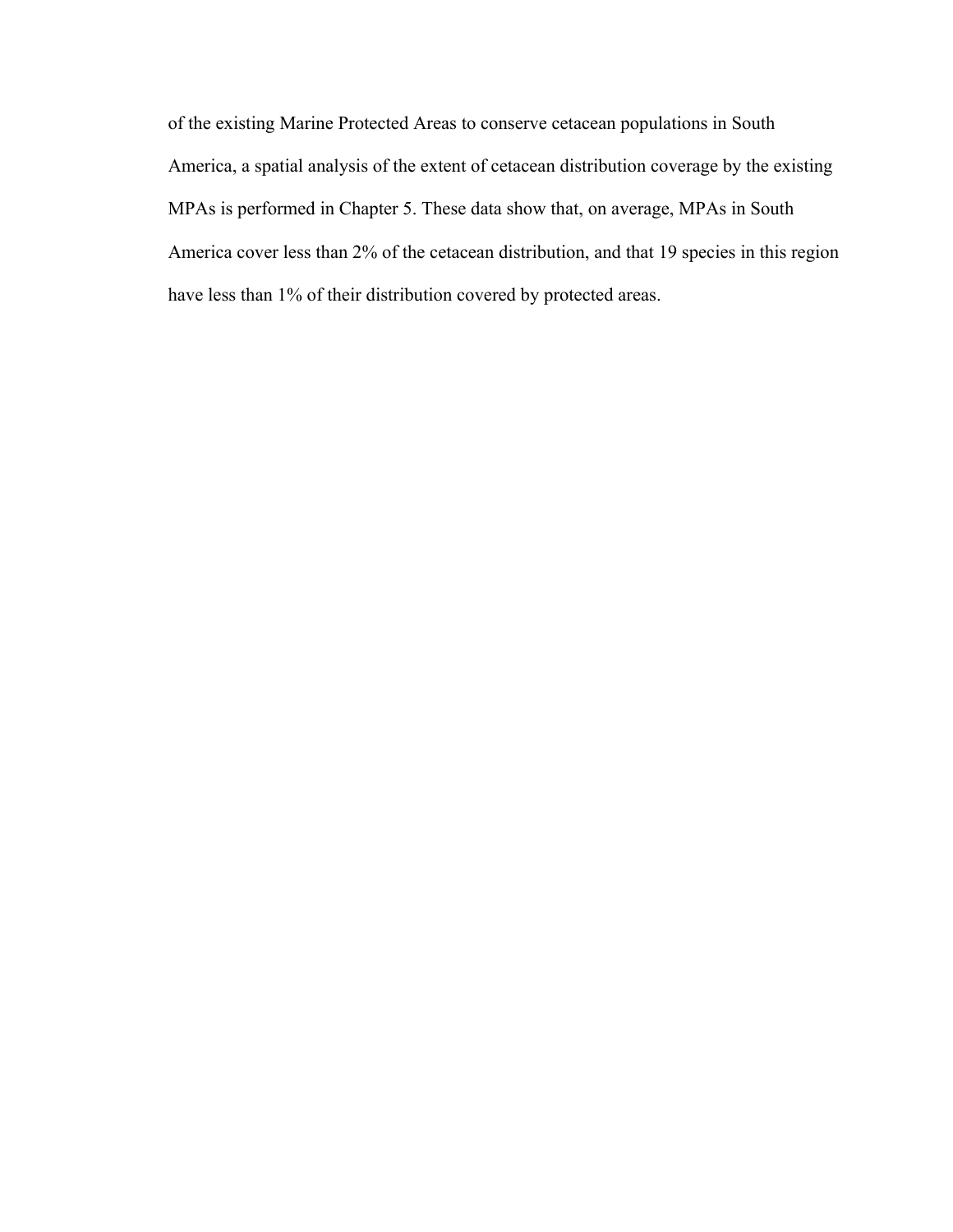of the existing Marine Protected Areas to conserve cetacean populations in South America, a spatial analysis of the extent of cetacean distribution coverage by the existing MPAs is performed in Chapter 5. These data show that, on average, MPAs in South America cover less than 2% of the cetacean distribution, and that 19 species in this region have less than 1% of their distribution covered by protected areas.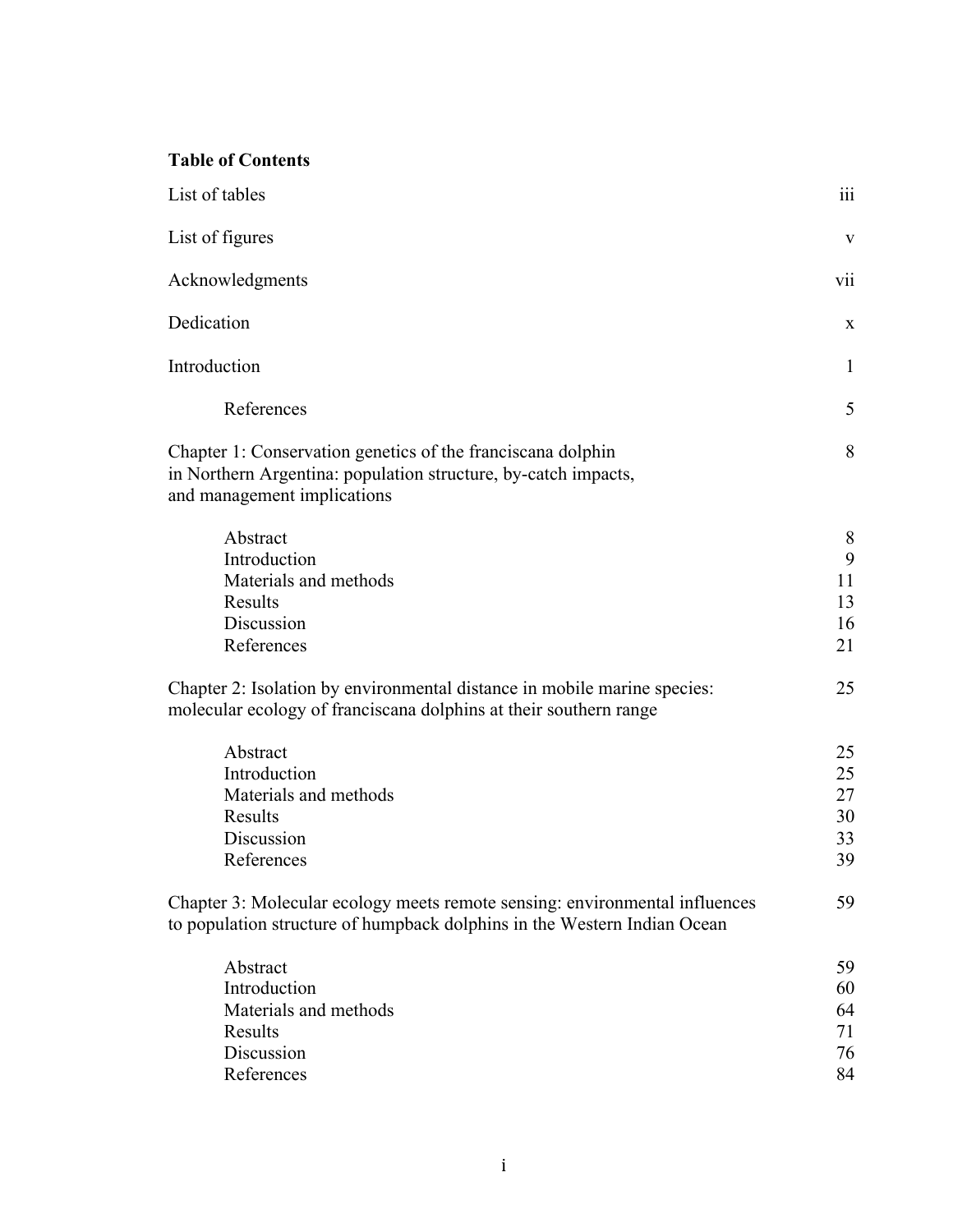## **Table of Contents**

| List of tables                                                                                                                                               | $\dddot{\text{iii}}$             |
|--------------------------------------------------------------------------------------------------------------------------------------------------------------|----------------------------------|
| List of figures                                                                                                                                              | V                                |
| Acknowledgments                                                                                                                                              | vii                              |
| Dedication                                                                                                                                                   | X                                |
| Introduction                                                                                                                                                 | $\mathbf{1}$                     |
| References                                                                                                                                                   | 5                                |
| Chapter 1: Conservation genetics of the franciscana dolphin<br>in Northern Argentina: population structure, by-catch impacts,<br>and management implications | 8                                |
| Abstract<br>Introduction<br>Materials and methods<br>Results<br>Discussion<br>References                                                                     | 8<br>9<br>11<br>13<br>16<br>21   |
| Chapter 2: Isolation by environmental distance in mobile marine species:<br>molecular ecology of franciscana dolphins at their southern range                | 25                               |
| Abstract<br>Introduction<br>Materials and methods<br>Results<br>Discussion<br>References                                                                     | 25<br>25<br>27<br>30<br>33<br>39 |
| Chapter 3: Molecular ecology meets remote sensing: environmental influences<br>to population structure of humpback dolphins in the Western Indian Ocean      | 59                               |
| Abstract<br>Introduction<br>Materials and methods<br>Results<br>Discussion<br>References                                                                     | 59<br>60<br>64<br>71<br>76<br>84 |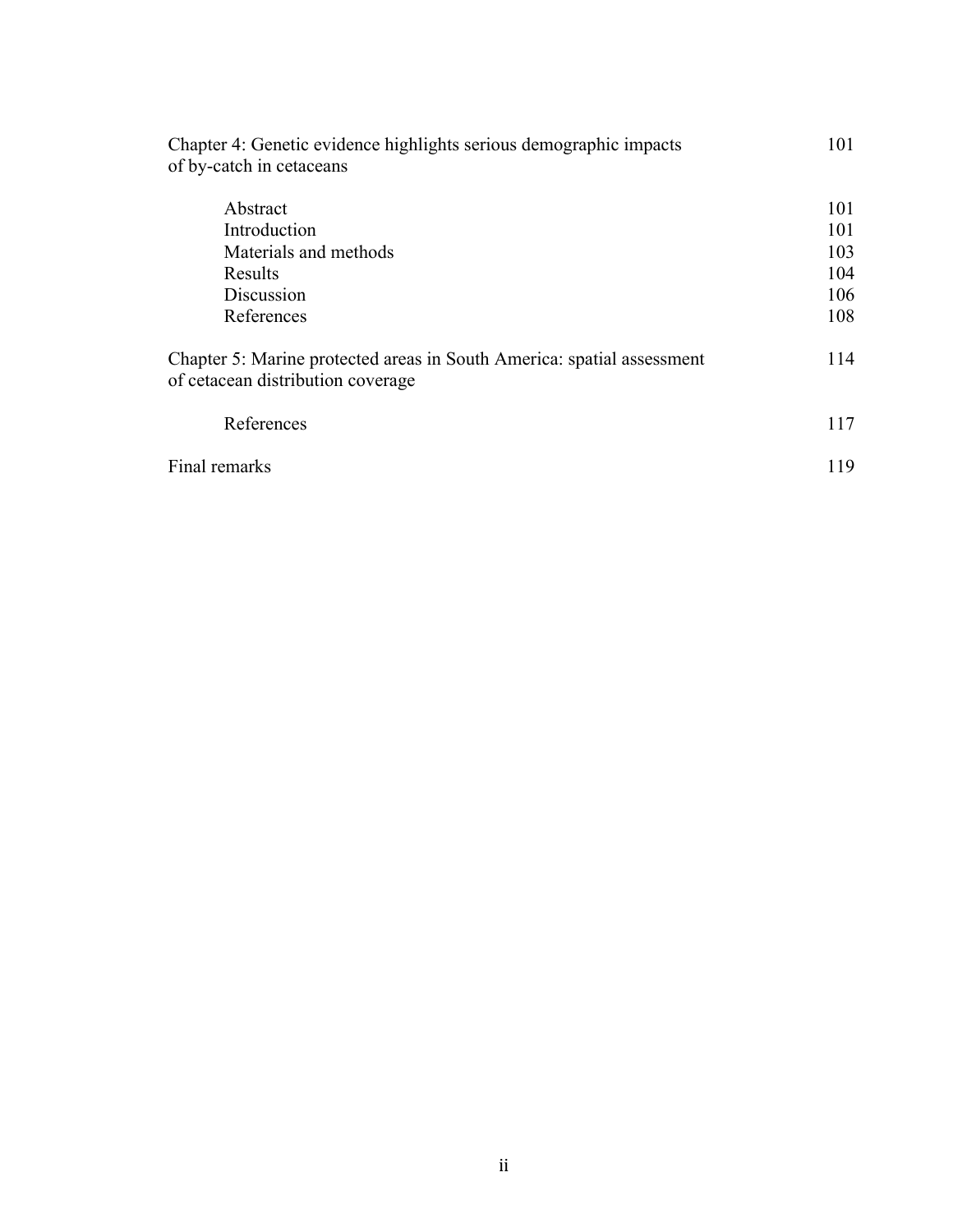| Chapter 4: Genetic evidence highlights serious demographic impacts<br>of by-catch in cetaceans              | 101 |
|-------------------------------------------------------------------------------------------------------------|-----|
| Abstract                                                                                                    | 101 |
| Introduction                                                                                                | 101 |
| Materials and methods                                                                                       | 103 |
| Results                                                                                                     | 104 |
| Discussion                                                                                                  | 106 |
| References                                                                                                  | 108 |
| Chapter 5: Marine protected areas in South America: spatial assessment<br>of cetacean distribution coverage | 114 |
| References                                                                                                  | 117 |
| Final remarks                                                                                               | 119 |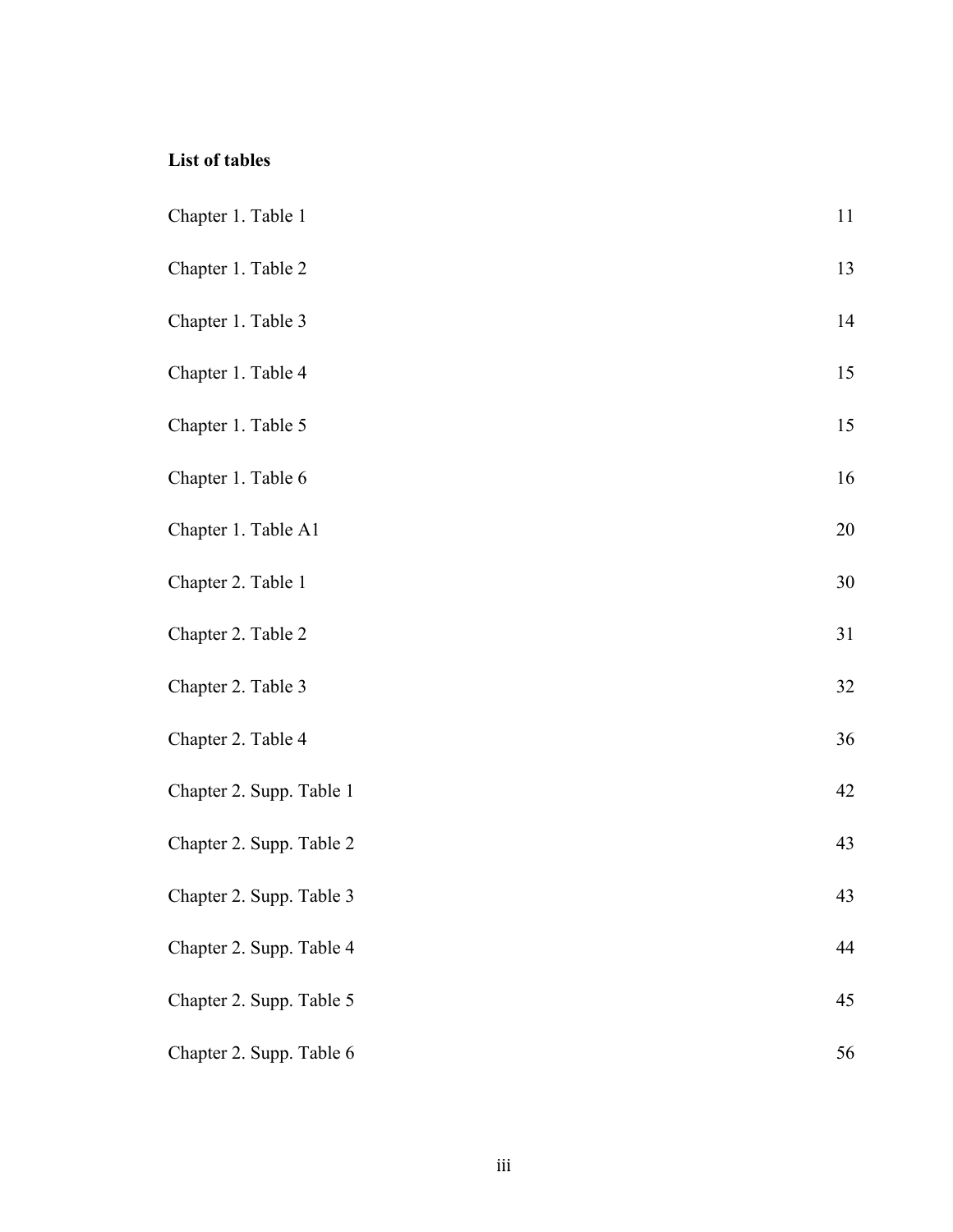## **List of tables**

| Chapter 1. Table 1       | 11 |
|--------------------------|----|
| Chapter 1. Table 2       | 13 |
| Chapter 1. Table 3       | 14 |
| Chapter 1. Table 4       | 15 |
| Chapter 1. Table 5       | 15 |
| Chapter 1. Table 6       | 16 |
| Chapter 1. Table A1      | 20 |
| Chapter 2. Table 1       | 30 |
| Chapter 2. Table 2       | 31 |
| Chapter 2. Table 3       | 32 |
| Chapter 2. Table 4       | 36 |
| Chapter 2. Supp. Table 1 | 42 |
| Chapter 2. Supp. Table 2 | 43 |
| Chapter 2. Supp. Table 3 | 43 |
| Chapter 2. Supp. Table 4 | 44 |
| Chapter 2. Supp. Table 5 | 45 |
| Chapter 2. Supp. Table 6 | 56 |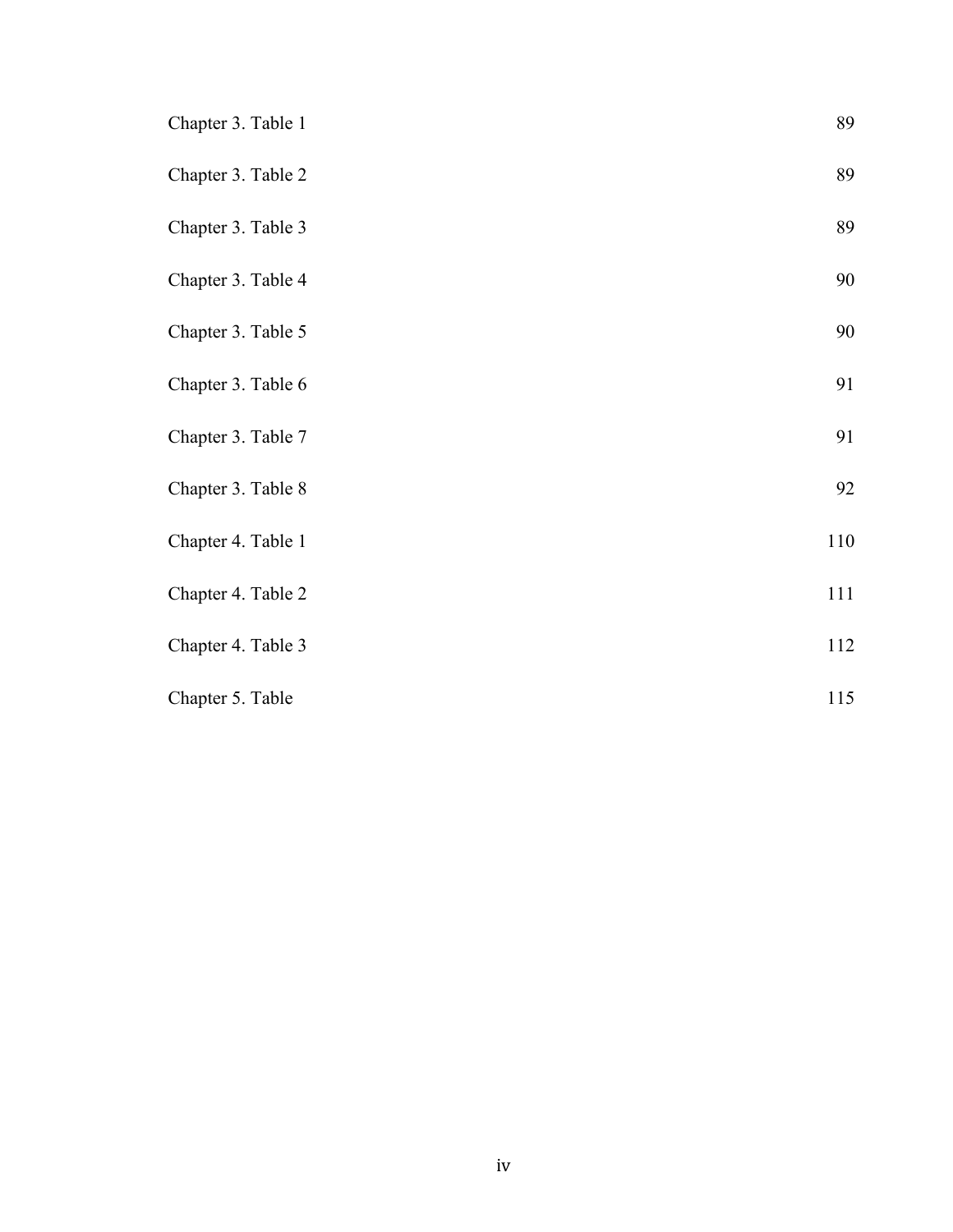| Chapter 3. Table 1 | 89      |
|--------------------|---------|
| Chapter 3. Table 2 | 89      |
| Chapter 3. Table 3 | 89      |
| Chapter 3. Table 4 | 90      |
| Chapter 3. Table 5 | 90      |
| Chapter 3. Table 6 | 91      |
| Chapter 3. Table 7 | 91      |
| Chapter 3. Table 8 | 92      |
| Chapter 4. Table 1 | $110\,$ |
| Chapter 4. Table 2 | 111     |
| Chapter 4. Table 3 | 112     |
| Chapter 5. Table   | 115     |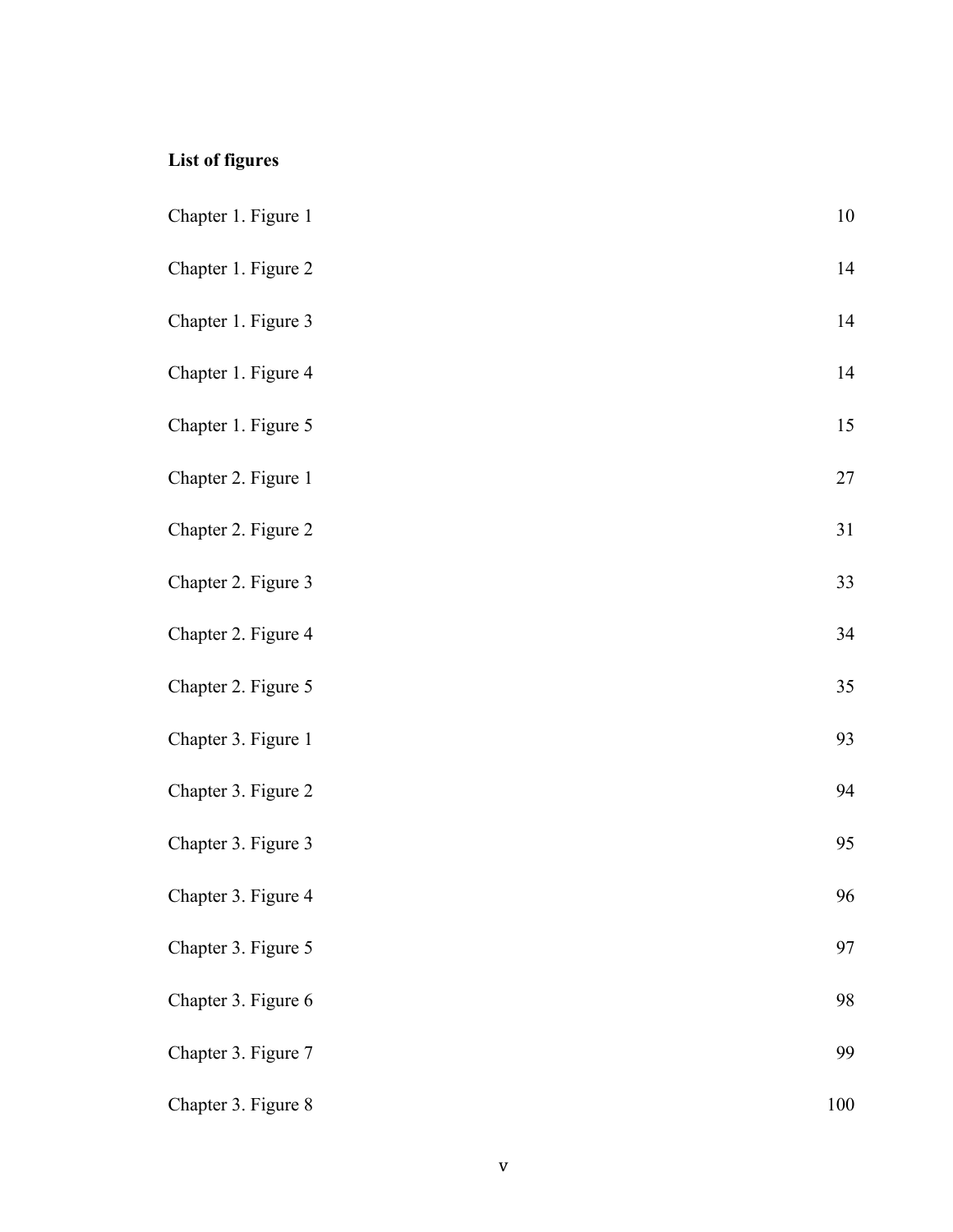## **List of figures**

| Chapter 1. Figure 1 | $10\,$ |
|---------------------|--------|
| Chapter 1. Figure 2 | 14     |
| Chapter 1. Figure 3 | 14     |
| Chapter 1. Figure 4 | 14     |
| Chapter 1. Figure 5 | 15     |
| Chapter 2. Figure 1 | 27     |
| Chapter 2. Figure 2 | 31     |
| Chapter 2. Figure 3 | 33     |
| Chapter 2. Figure 4 | 34     |
| Chapter 2. Figure 5 | 35     |
| Chapter 3. Figure 1 | 93     |
| Chapter 3. Figure 2 | 94     |
| Chapter 3. Figure 3 | 95     |
| Chapter 3. Figure 4 | 96     |
| Chapter 3. Figure 5 | 97     |
| Chapter 3. Figure 6 | 98     |
| Chapter 3. Figure 7 | 99     |
| Chapter 3. Figure 8 | 100    |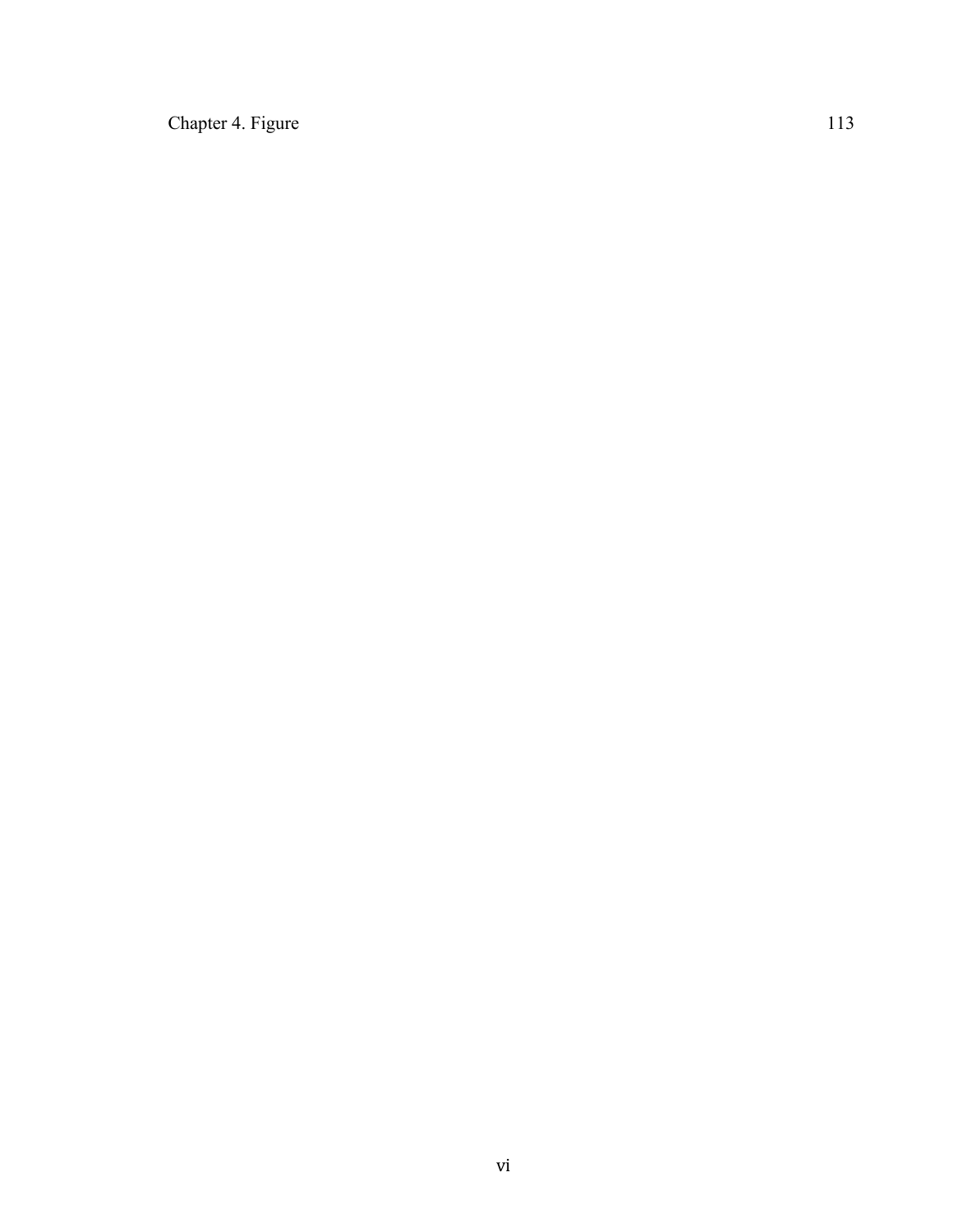Chapter 4. Figure 113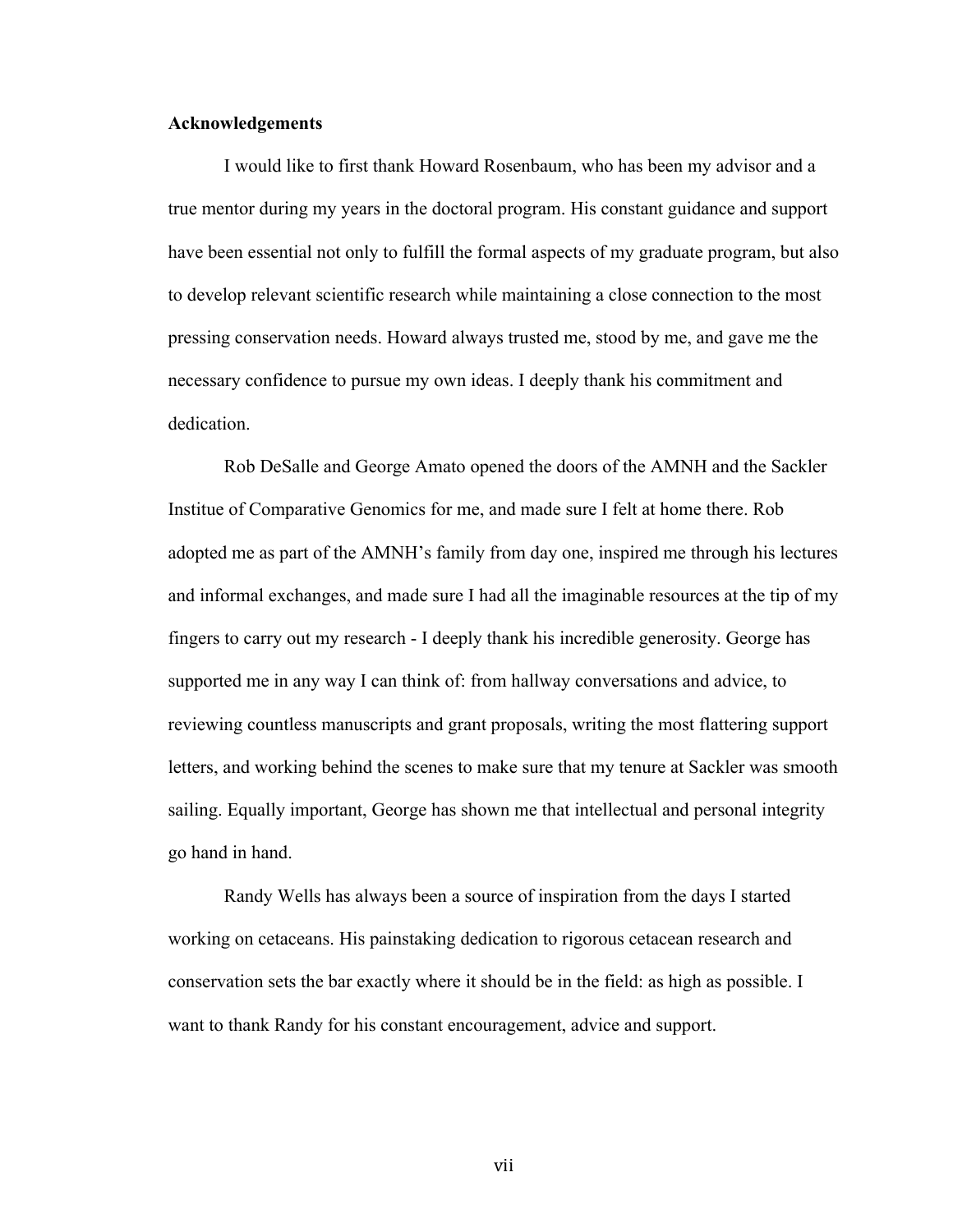#### **Acknowledgements**

I would like to first thank Howard Rosenbaum, who has been my advisor and a true mentor during my years in the doctoral program. His constant guidance and support have been essential not only to fulfill the formal aspects of my graduate program, but also to develop relevant scientific research while maintaining a close connection to the most pressing conservation needs. Howard always trusted me, stood by me, and gave me the necessary confidence to pursue my own ideas. I deeply thank his commitment and dedication.

Rob DeSalle and George Amato opened the doors of the AMNH and the Sackler Institue of Comparative Genomics for me, and made sure I felt at home there. Rob adopted me as part of the AMNH's family from day one, inspired me through his lectures and informal exchanges, and made sure I had all the imaginable resources at the tip of my fingers to carry out my research - I deeply thank his incredible generosity. George has supported me in any way I can think of: from hallway conversations and advice, to reviewing countless manuscripts and grant proposals, writing the most flattering support letters, and working behind the scenes to make sure that my tenure at Sackler was smooth sailing. Equally important, George has shown me that intellectual and personal integrity go hand in hand.

Randy Wells has always been a source of inspiration from the days I started working on cetaceans. His painstaking dedication to rigorous cetacean research and conservation sets the bar exactly where it should be in the field: as high as possible. I want to thank Randy for his constant encouragement, advice and support.

vii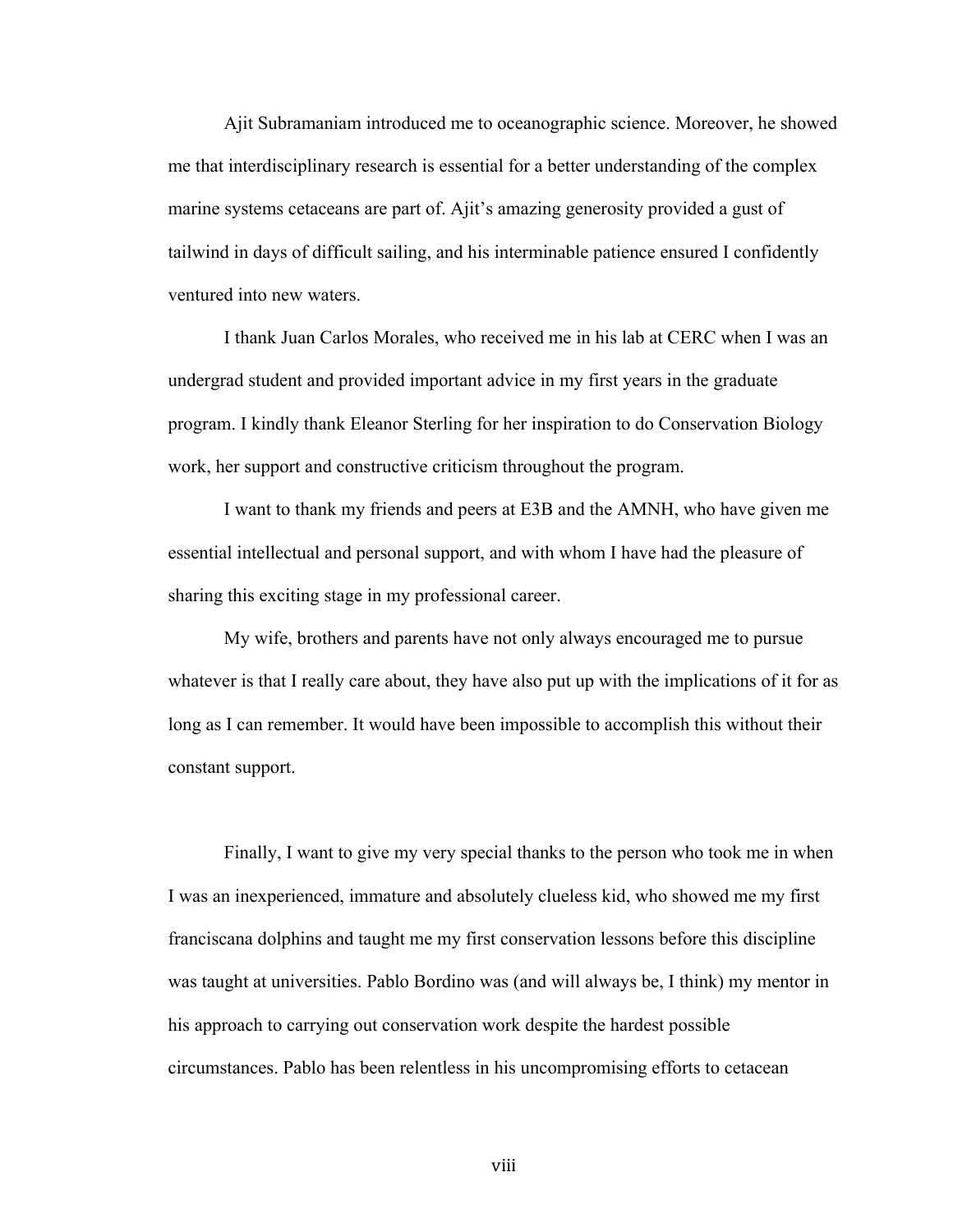Ajit Subramaniam introduced me to oceanographic science. Moreover, he showed me that interdisciplinary research is essential for a better understanding of the complex marine systems cetaceans are part of. Ajit's amazing generosity provided a gust of tailwind in days of difficult sailing, and his interminable patience ensured I confidently ventured into new waters.

I thank Juan Carlos Morales, who received me in his lab at CERC when I was an undergrad student and provided important advice in my first years in the graduate program. I kindly thank Eleanor Sterling for her inspiration to do Conservation Biology work, her support and constructive criticism throughout the program.

I want to thank my friends and peers at E3B and the AMNH, who have given me essential intellectual and personal support, and with whom I have had the pleasure of sharing this exciting stage in my professional career.

My wife, brothers and parents have not only always encouraged me to pursue whatever is that I really care about, they have also put up with the implications of it for as long as I can remember. It would have been impossible to accomplish this without their constant support.

Finally, I want to give my very special thanks to the person who took me in when I was an inexperienced, immature and absolutely clueless kid, who showed me my first franciscana dolphins and taught me my first conservation lessons before this discipline was taught at universities. Pablo Bordino was (and will always be, I think) my mentor in his approach to carrying out conservation work despite the hardest possible circumstances. Pablo has been relentless in his uncompromising efforts to cetacean

viii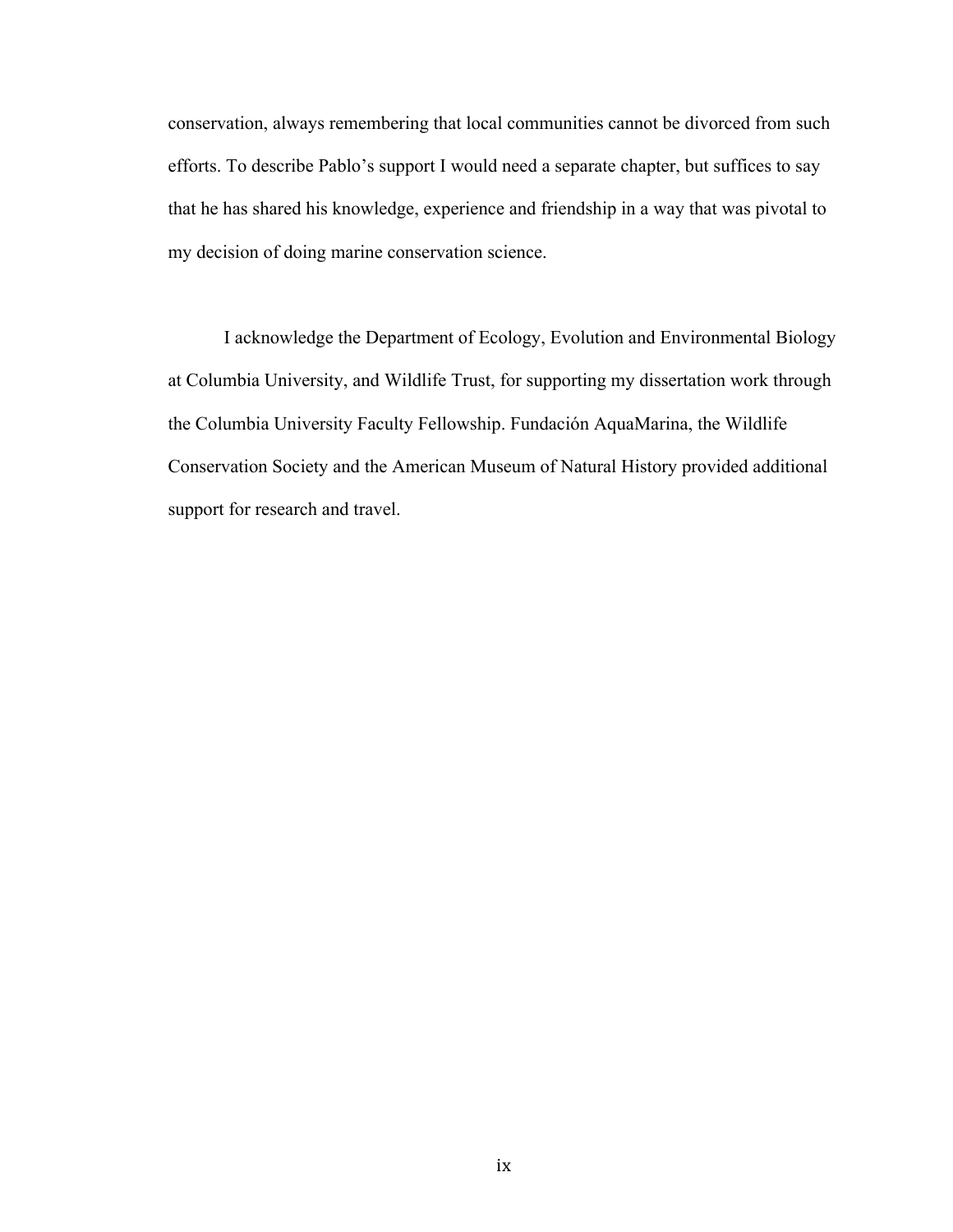conservation, always remembering that local communities cannot be divorced from such efforts. To describe Pablo's support I would need a separate chapter, but suffices to say that he has shared his knowledge, experience and friendship in a way that was pivotal to my decision of doing marine conservation science.

I acknowledge the Department of Ecology, Evolution and Environmental Biology at Columbia University, and Wildlife Trust, for supporting my dissertation work through the Columbia University Faculty Fellowship. Fundación AquaMarina, the Wildlife Conservation Society and the American Museum of Natural History provided additional support for research and travel.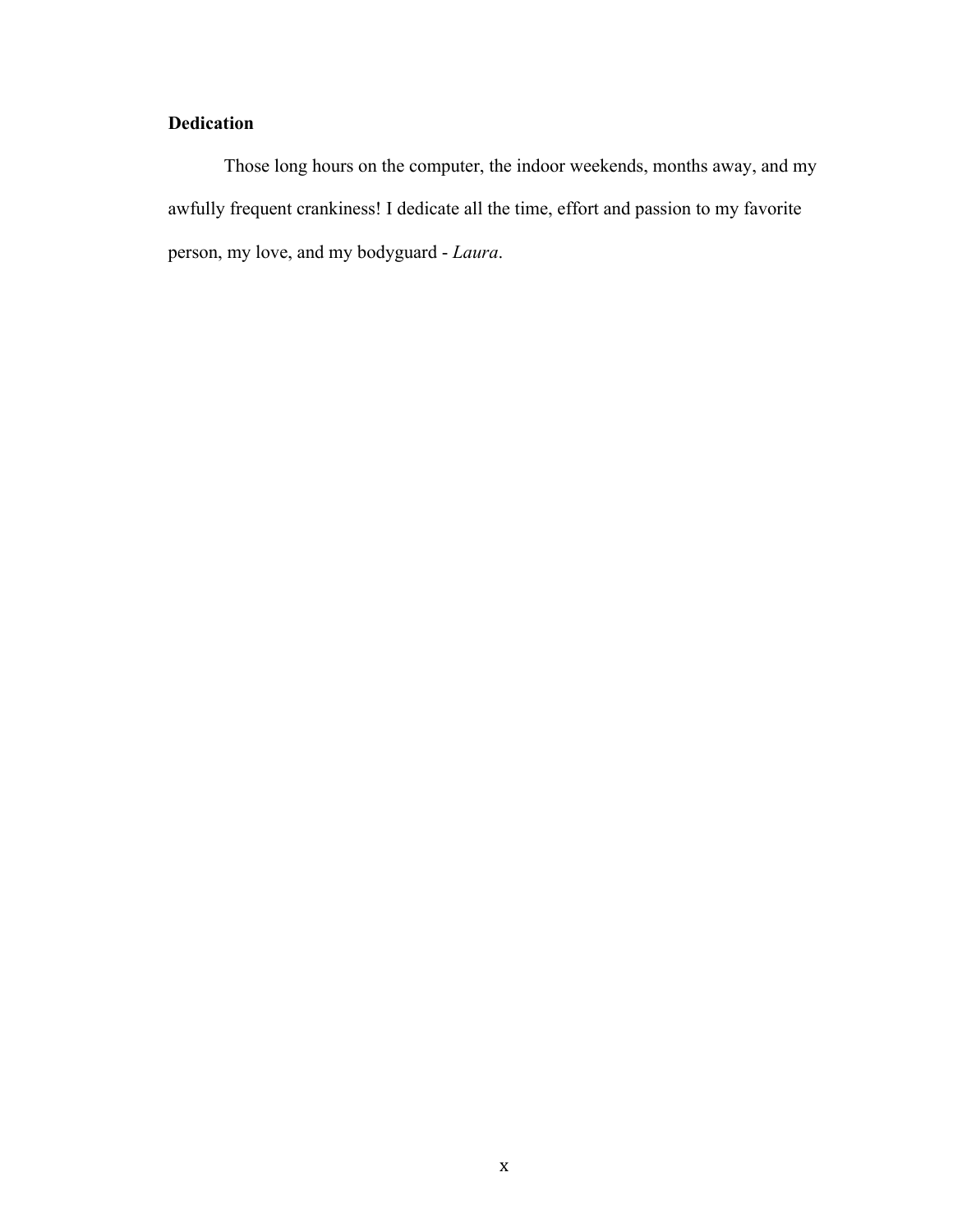## **Dedication**

Those long hours on the computer, the indoor weekends, months away, and my awfully frequent crankiness! I dedicate all the time, effort and passion to my favorite person, my love, and my bodyguard - *Laura*.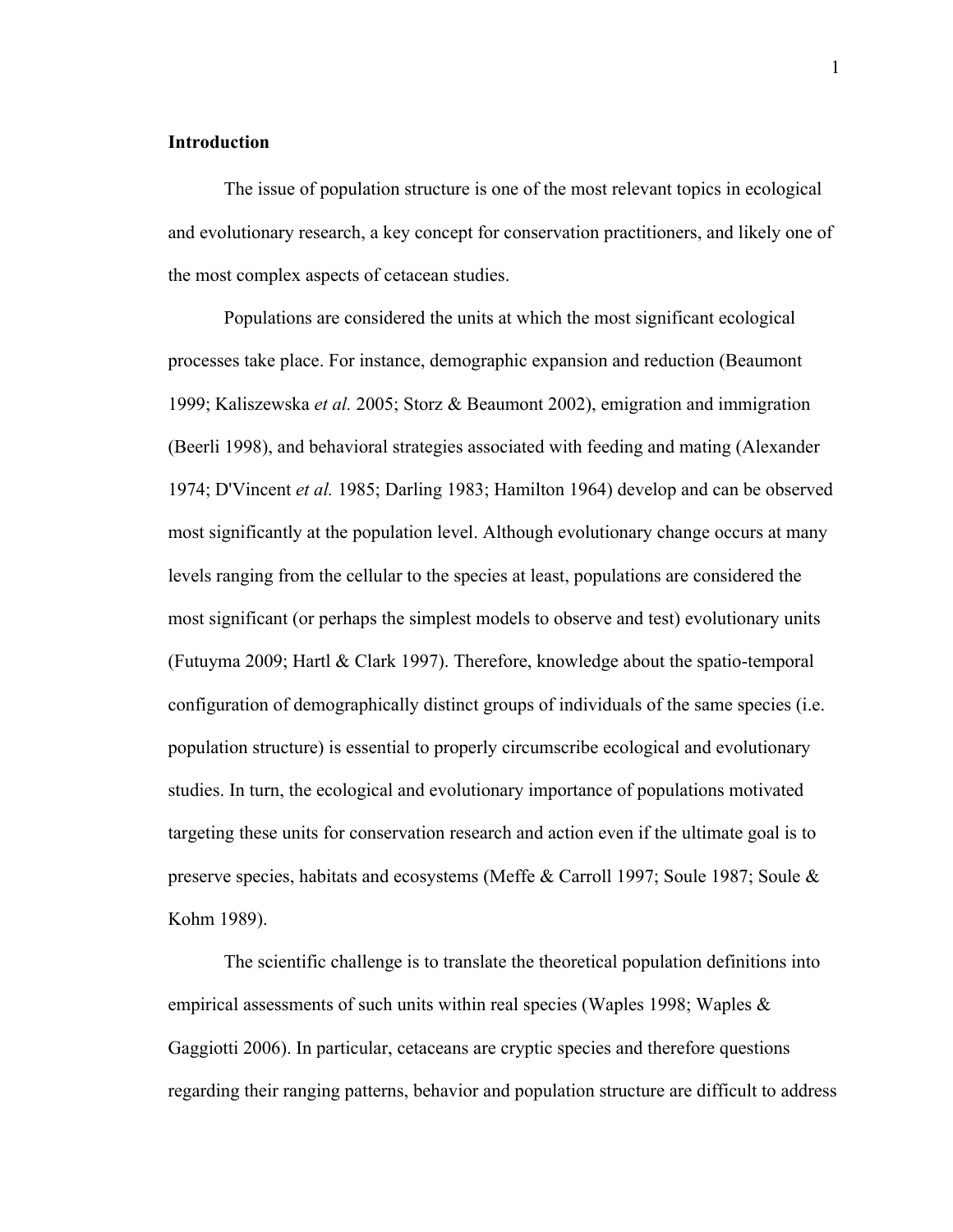#### **Introduction**

The issue of population structure is one of the most relevant topics in ecological and evolutionary research, a key concept for conservation practitioners, and likely one of the most complex aspects of cetacean studies.

Populations are considered the units at which the most significant ecological processes take place. For instance, demographic expansion and reduction (Beaumont 1999; Kaliszewska *et al.* 2005; Storz & Beaumont 2002), emigration and immigration (Beerli 1998), and behavioral strategies associated with feeding and mating (Alexander 1974; D'Vincent *et al.* 1985; Darling 1983; Hamilton 1964) develop and can be observed most significantly at the population level. Although evolutionary change occurs at many levels ranging from the cellular to the species at least, populations are considered the most significant (or perhaps the simplest models to observe and test) evolutionary units (Futuyma 2009; Hartl & Clark 1997). Therefore, knowledge about the spatio-temporal configuration of demographically distinct groups of individuals of the same species (i.e. population structure) is essential to properly circumscribe ecological and evolutionary studies. In turn, the ecological and evolutionary importance of populations motivated targeting these units for conservation research and action even if the ultimate goal is to preserve species, habitats and ecosystems (Meffe & Carroll 1997; Soule 1987; Soule & Kohm 1989).

The scientific challenge is to translate the theoretical population definitions into empirical assessments of such units within real species (Waples 1998; Waples  $\&$ Gaggiotti 2006). In particular, cetaceans are cryptic species and therefore questions regarding their ranging patterns, behavior and population structure are difficult to address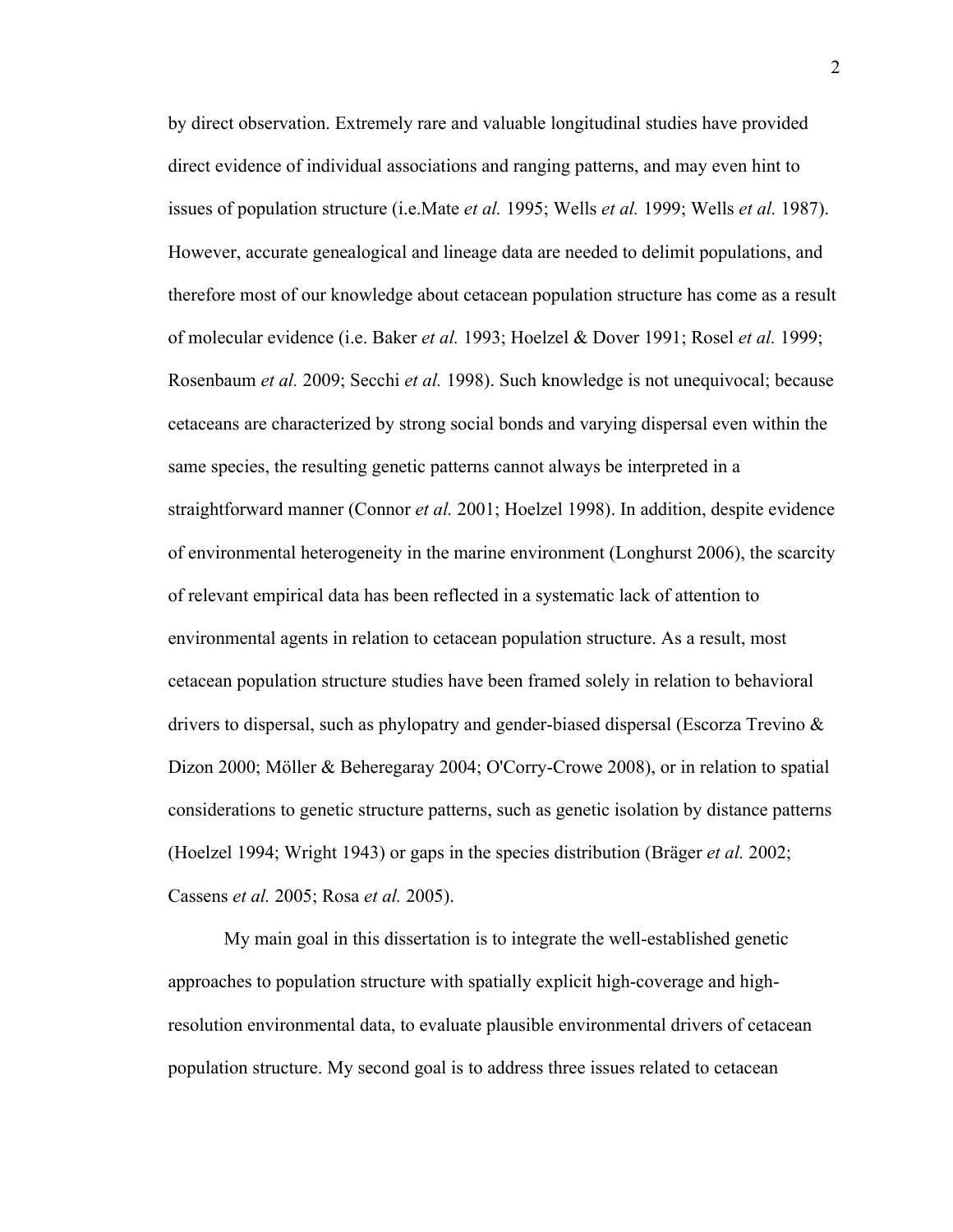by direct observation. Extremely rare and valuable longitudinal studies have provided direct evidence of individual associations and ranging patterns, and may even hint to issues of population structure (i.e.Mate *et al.* 1995; Wells *et al.* 1999; Wells *et al.* 1987). However, accurate genealogical and lineage data are needed to delimit populations, and therefore most of our knowledge about cetacean population structure has come as a result of molecular evidence (i.e. Baker *et al.* 1993; Hoelzel & Dover 1991; Rosel *et al.* 1999; Rosenbaum *et al.* 2009; Secchi *et al.* 1998). Such knowledge is not unequivocal; because cetaceans are characterized by strong social bonds and varying dispersal even within the same species, the resulting genetic patterns cannot always be interpreted in a straightforward manner (Connor *et al.* 2001; Hoelzel 1998). In addition, despite evidence of environmental heterogeneity in the marine environment (Longhurst 2006), the scarcity of relevant empirical data has been reflected in a systematic lack of attention to environmental agents in relation to cetacean population structure. As a result, most cetacean population structure studies have been framed solely in relation to behavioral drivers to dispersal, such as phylopatry and gender-biased dispersal (Escorza Trevino & Dizon 2000; Möller & Beheregaray 2004; O'Corry-Crowe 2008), or in relation to spatial considerations to genetic structure patterns, such as genetic isolation by distance patterns (Hoelzel 1994; Wright 1943) or gaps in the species distribution (Bräger *et al.* 2002; Cassens *et al.* 2005; Rosa *et al.* 2005).

My main goal in this dissertation is to integrate the well-established genetic approaches to population structure with spatially explicit high-coverage and highresolution environmental data, to evaluate plausible environmental drivers of cetacean population structure. My second goal is to address three issues related to cetacean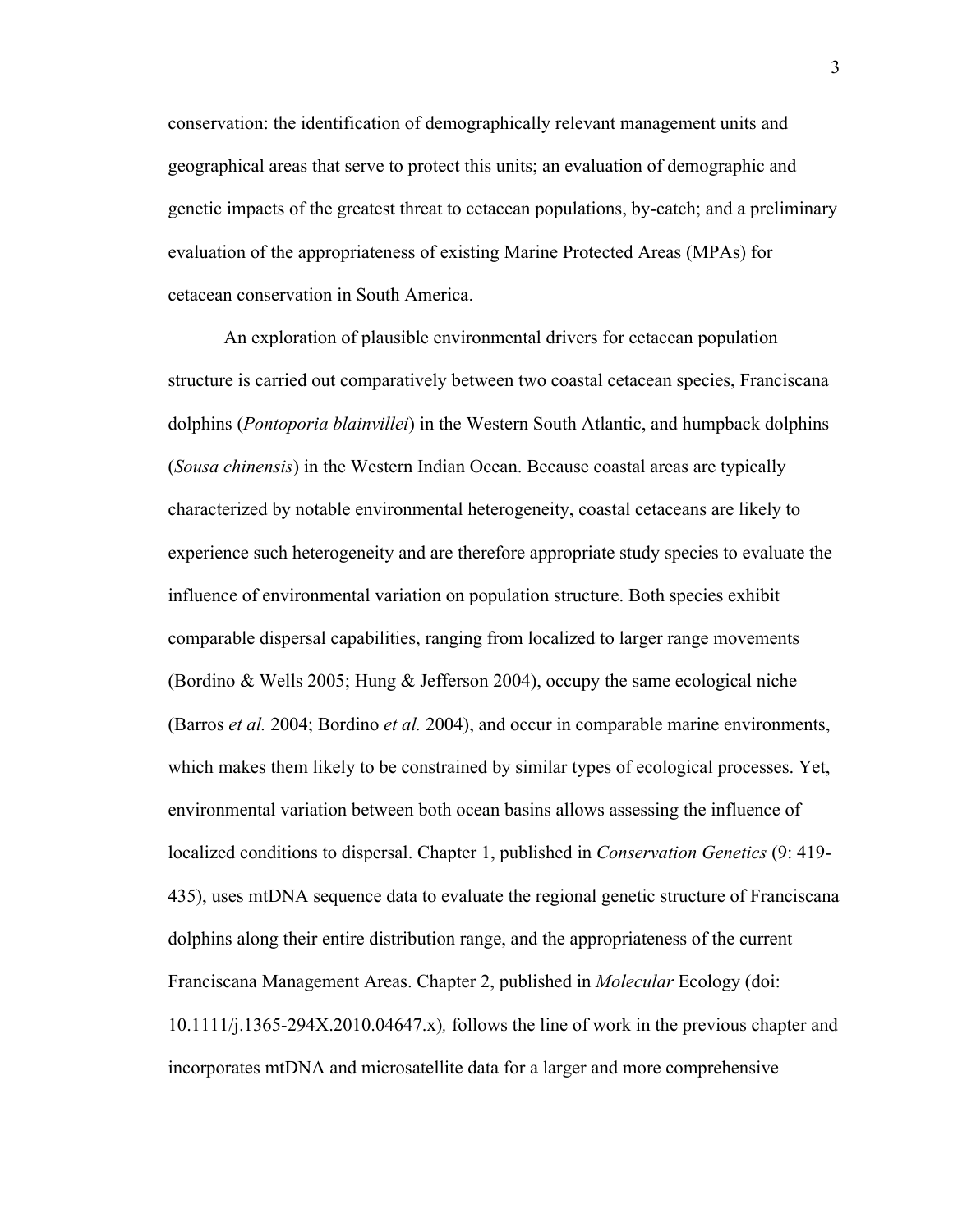conservation: the identification of demographically relevant management units and geographical areas that serve to protect this units; an evaluation of demographic and genetic impacts of the greatest threat to cetacean populations, by-catch; and a preliminary evaluation of the appropriateness of existing Marine Protected Areas (MPAs) for cetacean conservation in South America.

An exploration of plausible environmental drivers for cetacean population structure is carried out comparatively between two coastal cetacean species, Franciscana dolphins (*Pontoporia blainvillei*) in the Western South Atlantic, and humpback dolphins (*Sousa chinensis*) in the Western Indian Ocean. Because coastal areas are typically characterized by notable environmental heterogeneity, coastal cetaceans are likely to experience such heterogeneity and are therefore appropriate study species to evaluate the influence of environmental variation on population structure. Both species exhibit comparable dispersal capabilities, ranging from localized to larger range movements (Bordino & Wells 2005; Hung & Jefferson 2004), occupy the same ecological niche (Barros *et al.* 2004; Bordino *et al.* 2004), and occur in comparable marine environments, which makes them likely to be constrained by similar types of ecological processes. Yet, environmental variation between both ocean basins allows assessing the influence of localized conditions to dispersal. Chapter 1, published in *Conservation Genetics* (9: 419- 435), uses mtDNA sequence data to evaluate the regional genetic structure of Franciscana dolphins along their entire distribution range, and the appropriateness of the current Franciscana Management Areas. Chapter 2, published in *Molecular* Ecology (doi: 10.1111/j.1365-294X.2010.04647.x)*,* follows the line of work in the previous chapter and incorporates mtDNA and microsatellite data for a larger and more comprehensive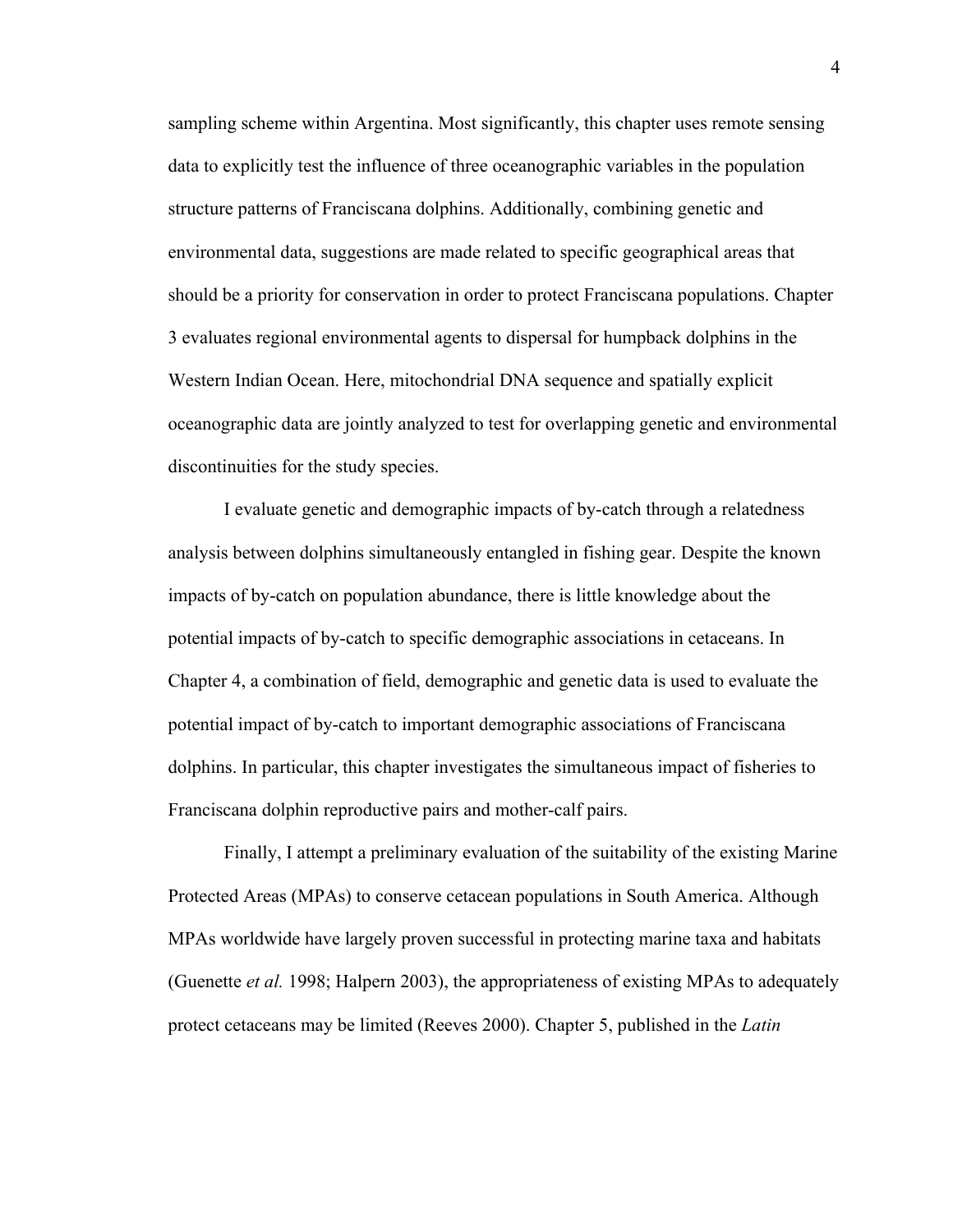sampling scheme within Argentina. Most significantly, this chapter uses remote sensing data to explicitly test the influence of three oceanographic variables in the population structure patterns of Franciscana dolphins. Additionally, combining genetic and environmental data, suggestions are made related to specific geographical areas that should be a priority for conservation in order to protect Franciscana populations. Chapter 3 evaluates regional environmental agents to dispersal for humpback dolphins in the Western Indian Ocean. Here, mitochondrial DNA sequence and spatially explicit oceanographic data are jointly analyzed to test for overlapping genetic and environmental discontinuities for the study species.

I evaluate genetic and demographic impacts of by-catch through a relatedness analysis between dolphins simultaneously entangled in fishing gear. Despite the known impacts of by-catch on population abundance, there is little knowledge about the potential impacts of by-catch to specific demographic associations in cetaceans. In Chapter 4, a combination of field, demographic and genetic data is used to evaluate the potential impact of by-catch to important demographic associations of Franciscana dolphins. In particular, this chapter investigates the simultaneous impact of fisheries to Franciscana dolphin reproductive pairs and mother-calf pairs.

Finally, I attempt a preliminary evaluation of the suitability of the existing Marine Protected Areas (MPAs) to conserve cetacean populations in South America. Although MPAs worldwide have largely proven successful in protecting marine taxa and habitats (Guenette *et al.* 1998; Halpern 2003), the appropriateness of existing MPAs to adequately protect cetaceans may be limited (Reeves 2000). Chapter 5, published in the *Latin*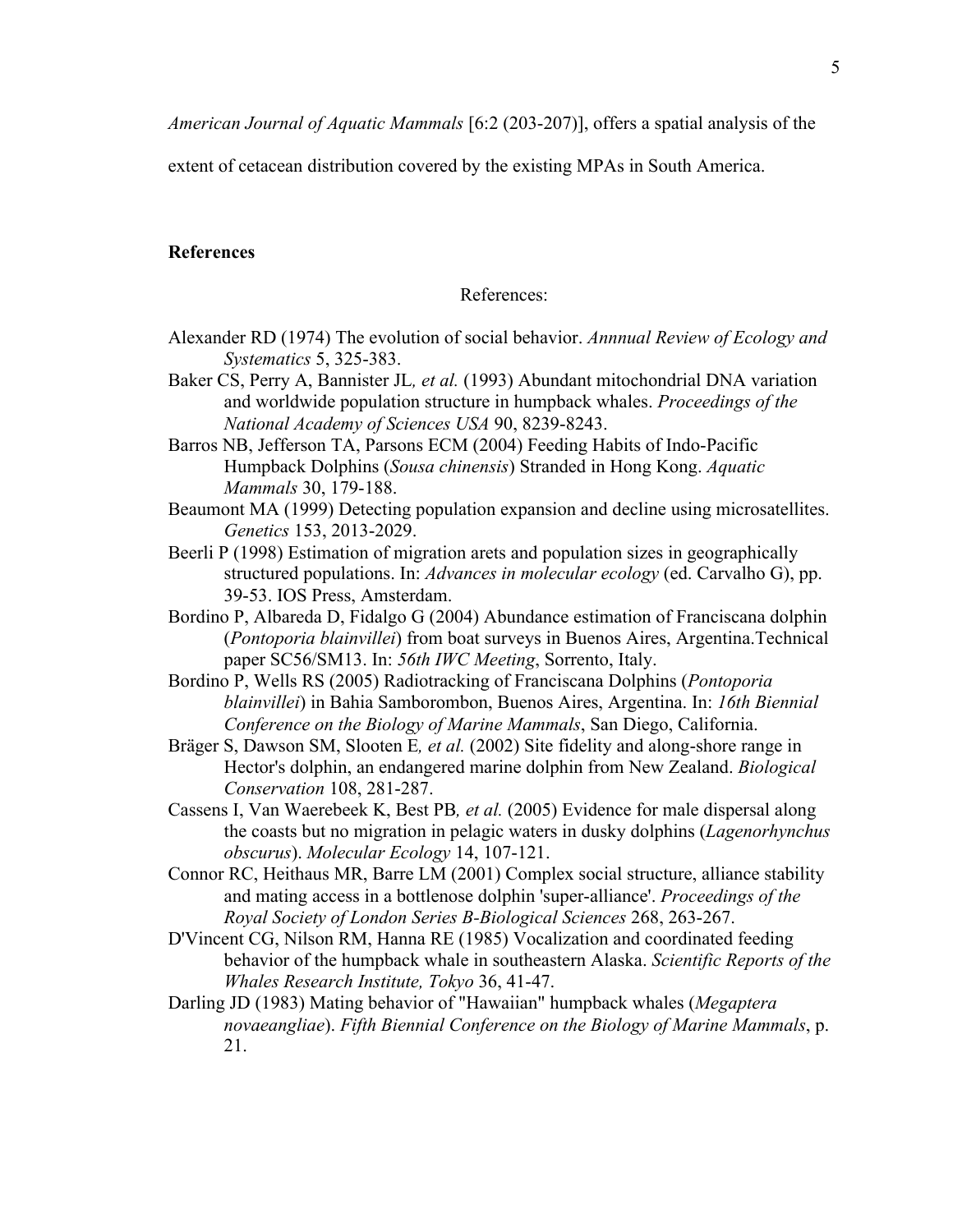*American Journal of Aquatic Mammals* [6:2 (203-207)], offers a spatial analysis of the

extent of cetacean distribution covered by the existing MPAs in South America.

#### **References**

References:

- Alexander RD (1974) The evolution of social behavior. *Annnual Review of Ecology and Systematics* 5, 325-383.
- Baker CS, Perry A, Bannister JL*, et al.* (1993) Abundant mitochondrial DNA variation and worldwide population structure in humpback whales. *Proceedings of the National Academy of Sciences USA* 90, 8239-8243.
- Barros NB, Jefferson TA, Parsons ECM (2004) Feeding Habits of Indo-Pacific Humpback Dolphins (*Sousa chinensis*) Stranded in Hong Kong. *Aquatic Mammals* 30, 179-188.
- Beaumont MA (1999) Detecting population expansion and decline using microsatellites. *Genetics* 153, 2013-2029.
- Beerli P (1998) Estimation of migration arets and population sizes in geographically structured populations. In: *Advances in molecular ecology* (ed. Carvalho G), pp. 39-53. IOS Press, Amsterdam.
- Bordino P, Albareda D, Fidalgo G (2004) Abundance estimation of Franciscana dolphin (*Pontoporia blainvillei*) from boat surveys in Buenos Aires, Argentina.Technical paper SC56/SM13. In: *56th IWC Meeting*, Sorrento, Italy.
- Bordino P, Wells RS (2005) Radiotracking of Franciscana Dolphins (*Pontoporia blainvillei*) in Bahia Samborombon, Buenos Aires, Argentina. In: *16th Biennial Conference on the Biology of Marine Mammals*, San Diego, California.
- Bräger S, Dawson SM, Slooten E*, et al.* (2002) Site fidelity and along-shore range in Hector's dolphin, an endangered marine dolphin from New Zealand. *Biological Conservation* 108, 281-287.
- Cassens I, Van Waerebeek K, Best PB*, et al.* (2005) Evidence for male dispersal along the coasts but no migration in pelagic waters in dusky dolphins (*Lagenorhynchus obscurus*). *Molecular Ecology* 14, 107-121.
- Connor RC, Heithaus MR, Barre LM (2001) Complex social structure, alliance stability and mating access in a bottlenose dolphin 'super-alliance'. *Proceedings of the Royal Society of London Series B-Biological Sciences* 268, 263-267.
- D'Vincent CG, Nilson RM, Hanna RE (1985) Vocalization and coordinated feeding behavior of the humpback whale in southeastern Alaska. *Scientific Reports of the Whales Research Institute, Tokyo* 36, 41-47.
- Darling JD (1983) Mating behavior of "Hawaiian" humpback whales (*Megaptera novaeangliae*). *Fifth Biennial Conference on the Biology of Marine Mammals*, p. 21.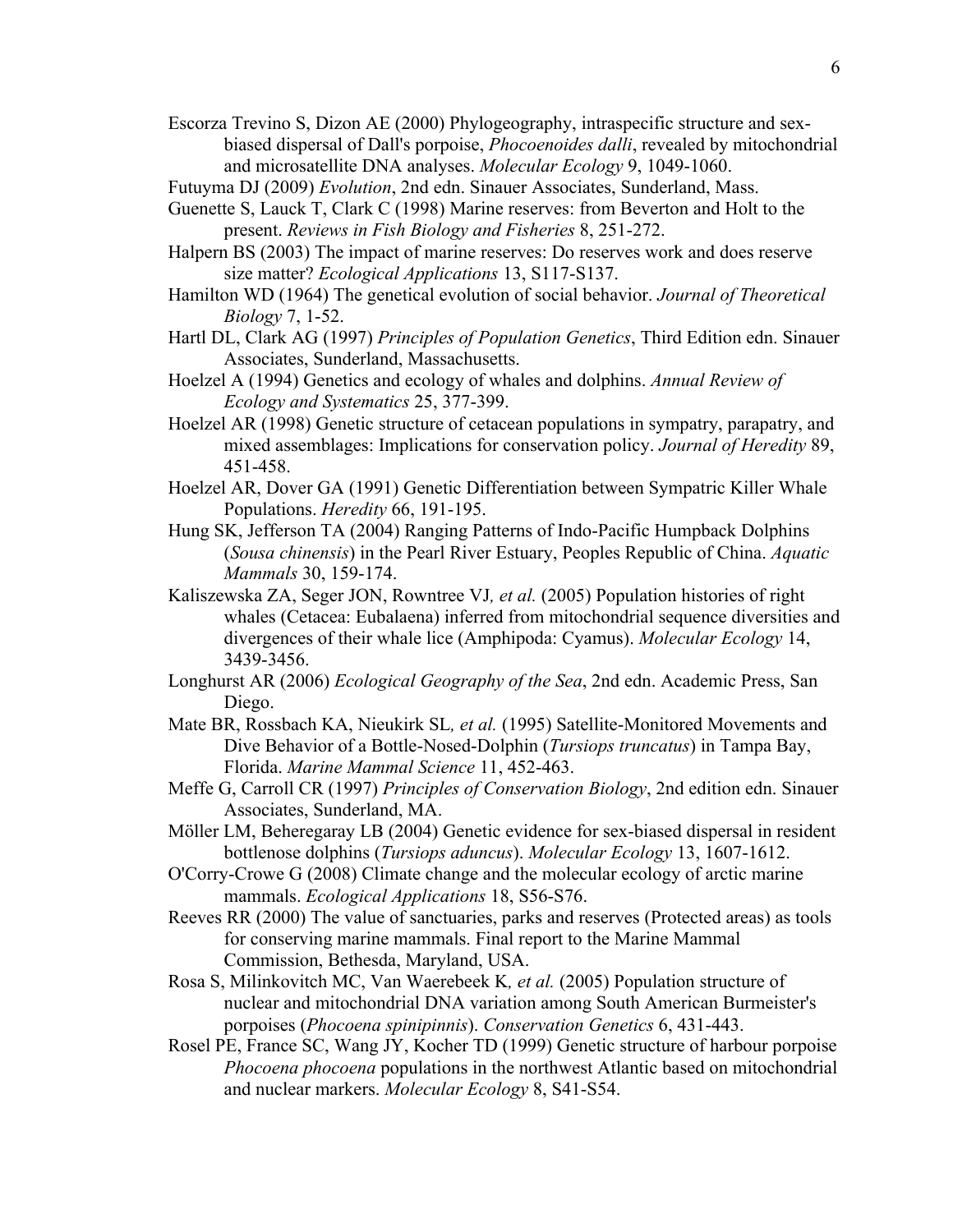- Escorza Trevino S, Dizon AE (2000) Phylogeography, intraspecific structure and sexbiased dispersal of Dall's porpoise, *Phocoenoides dalli*, revealed by mitochondrial and microsatellite DNA analyses. *Molecular Ecology* 9, 1049-1060.
- Futuyma DJ (2009) *Evolution*, 2nd edn. Sinauer Associates, Sunderland, Mass.
- Guenette S, Lauck T, Clark C (1998) Marine reserves: from Beverton and Holt to the present. *Reviews in Fish Biology and Fisheries* 8, 251-272.
- Halpern BS (2003) The impact of marine reserves: Do reserves work and does reserve size matter? *Ecological Applications* 13, S117-S137.
- Hamilton WD (1964) The genetical evolution of social behavior. *Journal of Theoretical Biology* 7, 1-52.
- Hartl DL, Clark AG (1997) *Principles of Population Genetics*, Third Edition edn. Sinauer Associates, Sunderland, Massachusetts.
- Hoelzel A (1994) Genetics and ecology of whales and dolphins. *Annual Review of Ecology and Systematics* 25, 377-399.
- Hoelzel AR (1998) Genetic structure of cetacean populations in sympatry, parapatry, and mixed assemblages: Implications for conservation policy. *Journal of Heredity* 89, 451-458.
- Hoelzel AR, Dover GA (1991) Genetic Differentiation between Sympatric Killer Whale Populations. *Heredity* 66, 191-195.
- Hung SK, Jefferson TA (2004) Ranging Patterns of Indo-Pacific Humpback Dolphins (*Sousa chinensis*) in the Pearl River Estuary, Peoples Republic of China. *Aquatic Mammals* 30, 159-174.
- Kaliszewska ZA, Seger JON, Rowntree VJ*, et al.* (2005) Population histories of right whales (Cetacea: Eubalaena) inferred from mitochondrial sequence diversities and divergences of their whale lice (Amphipoda: Cyamus). *Molecular Ecology* 14, 3439-3456.
- Longhurst AR (2006) *Ecological Geography of the Sea*, 2nd edn. Academic Press, San Diego.
- Mate BR, Rossbach KA, Nieukirk SL*, et al.* (1995) Satellite-Monitored Movements and Dive Behavior of a Bottle-Nosed-Dolphin (*Tursiops truncatus*) in Tampa Bay, Florida. *Marine Mammal Science* 11, 452-463.
- Meffe G, Carroll CR (1997) *Principles of Conservation Biology*, 2nd edition edn. Sinauer Associates, Sunderland, MA.
- Möller LM, Beheregaray LB (2004) Genetic evidence for sex-biased dispersal in resident bottlenose dolphins (*Tursiops aduncus*). *Molecular Ecology* 13, 1607-1612.
- O'Corry-Crowe G (2008) Climate change and the molecular ecology of arctic marine mammals. *Ecological Applications* 18, S56-S76.
- Reeves RR (2000) The value of sanctuaries, parks and reserves (Protected areas) as tools for conserving marine mammals. Final report to the Marine Mammal Commission, Bethesda, Maryland, USA.
- Rosa S, Milinkovitch MC, Van Waerebeek K*, et al.* (2005) Population structure of nuclear and mitochondrial DNA variation among South American Burmeister's porpoises (*Phocoena spinipinnis*). *Conservation Genetics* 6, 431-443.
- Rosel PE, France SC, Wang JY, Kocher TD (1999) Genetic structure of harbour porpoise *Phocoena phocoena* populations in the northwest Atlantic based on mitochondrial and nuclear markers. *Molecular Ecology* 8, S41-S54.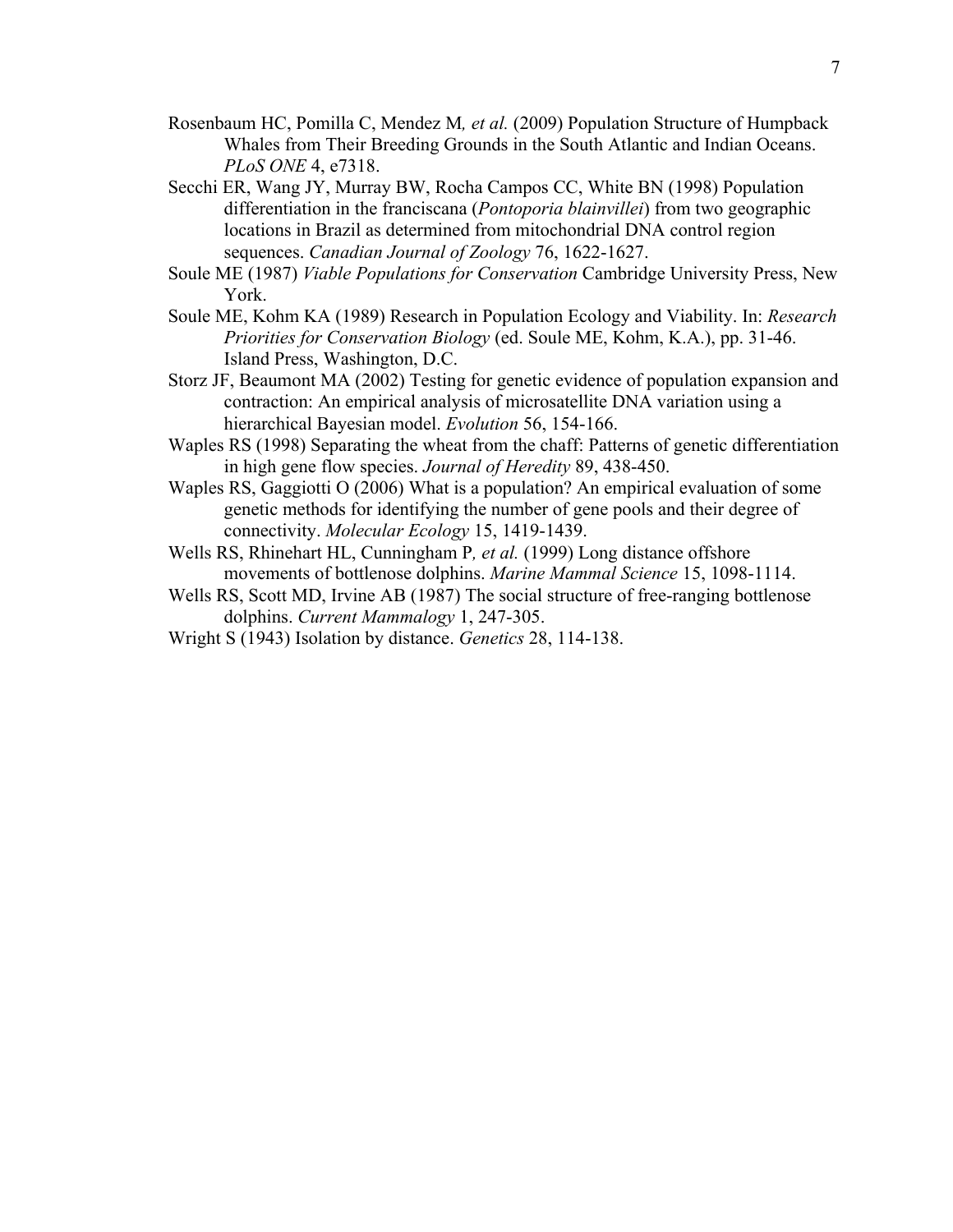- Rosenbaum HC, Pomilla C, Mendez M*, et al.* (2009) Population Structure of Humpback Whales from Their Breeding Grounds in the South Atlantic and Indian Oceans. *PLoS ONE* 4, e7318.
- Secchi ER, Wang JY, Murray BW, Rocha Campos CC, White BN (1998) Population differentiation in the franciscana (*Pontoporia blainvillei*) from two geographic locations in Brazil as determined from mitochondrial DNA control region sequences. *Canadian Journal of Zoology* 76, 1622-1627.
- Soule ME (1987) *Viable Populations for Conservation* Cambridge University Press, New York.
- Soule ME, Kohm KA (1989) Research in Population Ecology and Viability. In: *Research Priorities for Conservation Biology* (ed. Soule ME, Kohm, K.A.), pp. 31-46. Island Press, Washington, D.C.
- Storz JF, Beaumont MA (2002) Testing for genetic evidence of population expansion and contraction: An empirical analysis of microsatellite DNA variation using a hierarchical Bayesian model. *Evolution* 56, 154-166.
- Waples RS (1998) Separating the wheat from the chaff: Patterns of genetic differentiation in high gene flow species. *Journal of Heredity* 89, 438-450.
- Waples RS, Gaggiotti O (2006) What is a population? An empirical evaluation of some genetic methods for identifying the number of gene pools and their degree of connectivity. *Molecular Ecology* 15, 1419-1439.
- Wells RS, Rhinehart HL, Cunningham P*, et al.* (1999) Long distance offshore movements of bottlenose dolphins. *Marine Mammal Science* 15, 1098-1114.
- Wells RS, Scott MD, Irvine AB (1987) The social structure of free-ranging bottlenose dolphins. *Current Mammalogy* 1, 247-305.
- Wright S (1943) Isolation by distance. *Genetics* 28, 114-138.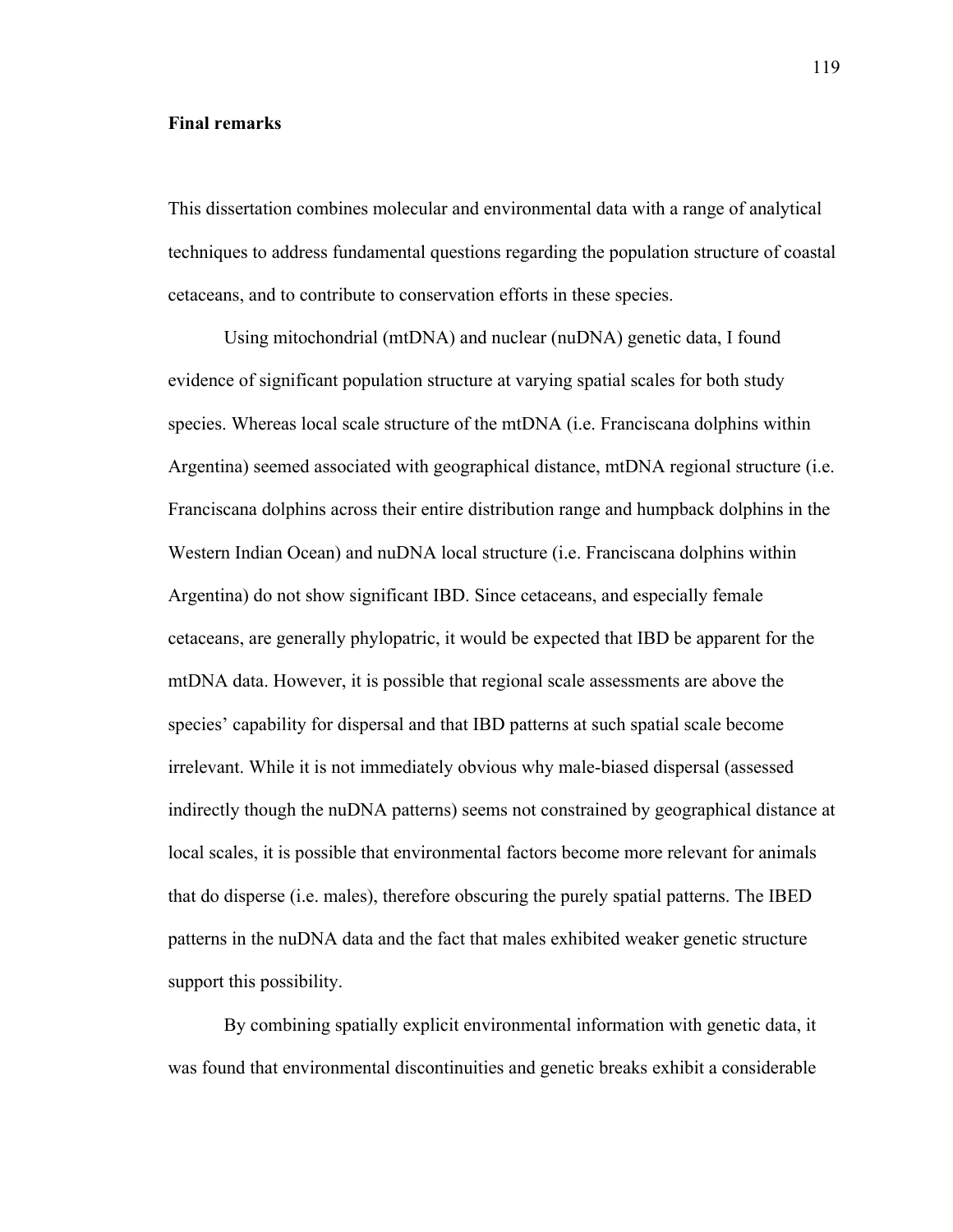#### **Final remarks**

This dissertation combines molecular and environmental data with a range of analytical techniques to address fundamental questions regarding the population structure of coastal cetaceans, and to contribute to conservation efforts in these species.

Using mitochondrial (mtDNA) and nuclear (nuDNA) genetic data, I found evidence of significant population structure at varying spatial scales for both study species. Whereas local scale structure of the mtDNA (i.e. Franciscana dolphins within Argentina) seemed associated with geographical distance, mtDNA regional structure (i.e. Franciscana dolphins across their entire distribution range and humpback dolphins in the Western Indian Ocean) and nuDNA local structure (i.e. Franciscana dolphins within Argentina) do not show significant IBD. Since cetaceans, and especially female cetaceans, are generally phylopatric, it would be expected that IBD be apparent for the mtDNA data. However, it is possible that regional scale assessments are above the species' capability for dispersal and that IBD patterns at such spatial scale become irrelevant. While it is not immediately obvious why male-biased dispersal (assessed indirectly though the nuDNA patterns) seems not constrained by geographical distance at local scales, it is possible that environmental factors become more relevant for animals that do disperse (i.e. males), therefore obscuring the purely spatial patterns. The IBED patterns in the nuDNA data and the fact that males exhibited weaker genetic structure support this possibility.

By combining spatially explicit environmental information with genetic data, it was found that environmental discontinuities and genetic breaks exhibit a considerable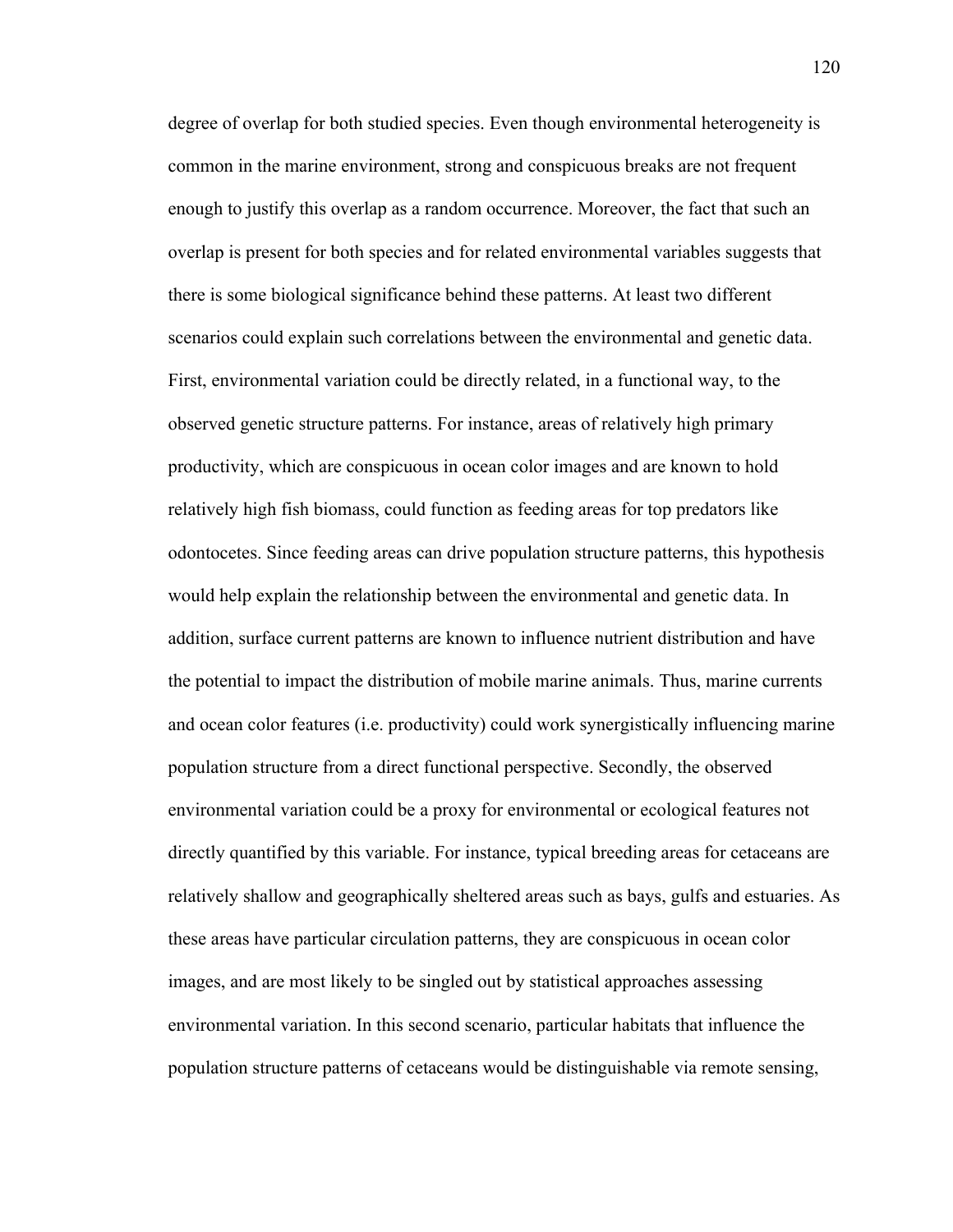degree of overlap for both studied species. Even though environmental heterogeneity is common in the marine environment, strong and conspicuous breaks are not frequent enough to justify this overlap as a random occurrence. Moreover, the fact that such an overlap is present for both species and for related environmental variables suggests that there is some biological significance behind these patterns. At least two different scenarios could explain such correlations between the environmental and genetic data. First, environmental variation could be directly related, in a functional way, to the observed genetic structure patterns. For instance, areas of relatively high primary productivity, which are conspicuous in ocean color images and are known to hold relatively high fish biomass, could function as feeding areas for top predators like odontocetes. Since feeding areas can drive population structure patterns, this hypothesis would help explain the relationship between the environmental and genetic data. In addition, surface current patterns are known to influence nutrient distribution and have the potential to impact the distribution of mobile marine animals. Thus, marine currents and ocean color features (i.e. productivity) could work synergistically influencing marine population structure from a direct functional perspective. Secondly, the observed environmental variation could be a proxy for environmental or ecological features not directly quantified by this variable. For instance, typical breeding areas for cetaceans are relatively shallow and geographically sheltered areas such as bays, gulfs and estuaries. As these areas have particular circulation patterns, they are conspicuous in ocean color images, and are most likely to be singled out by statistical approaches assessing environmental variation. In this second scenario, particular habitats that influence the population structure patterns of cetaceans would be distinguishable via remote sensing,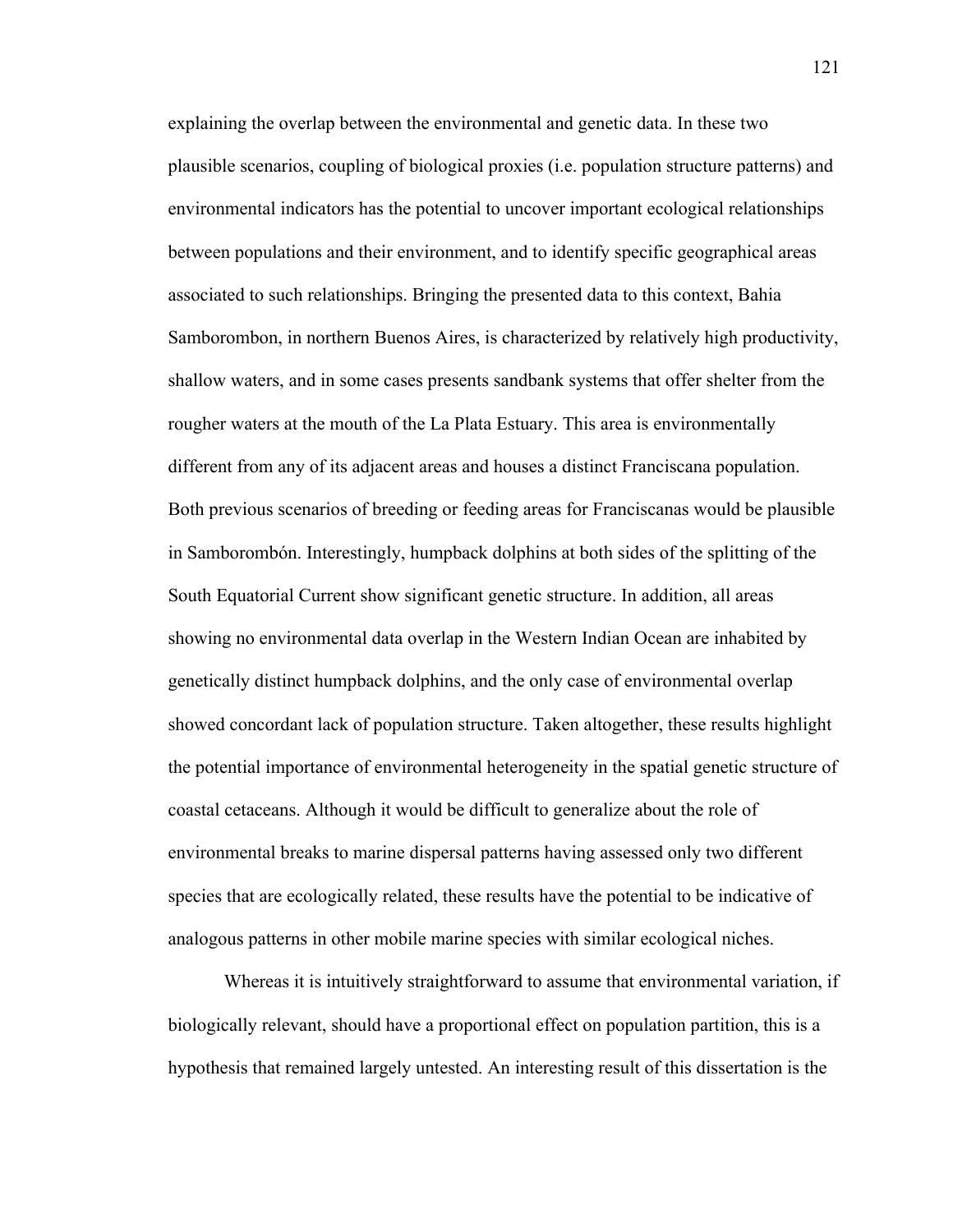explaining the overlap between the environmental and genetic data. In these two plausible scenarios, coupling of biological proxies (i.e. population structure patterns) and environmental indicators has the potential to uncover important ecological relationships between populations and their environment, and to identify specific geographical areas associated to such relationships. Bringing the presented data to this context, Bahia Samborombon, in northern Buenos Aires, is characterized by relatively high productivity, shallow waters, and in some cases presents sandbank systems that offer shelter from the rougher waters at the mouth of the La Plata Estuary. This area is environmentally different from any of its adjacent areas and houses a distinct Franciscana population. Both previous scenarios of breeding or feeding areas for Franciscanas would be plausible in Samborombón. Interestingly, humpback dolphins at both sides of the splitting of the South Equatorial Current show significant genetic structure. In addition, all areas showing no environmental data overlap in the Western Indian Ocean are inhabited by genetically distinct humpback dolphins, and the only case of environmental overlap showed concordant lack of population structure. Taken altogether, these results highlight the potential importance of environmental heterogeneity in the spatial genetic structure of coastal cetaceans. Although it would be difficult to generalize about the role of environmental breaks to marine dispersal patterns having assessed only two different species that are ecologically related, these results have the potential to be indicative of analogous patterns in other mobile marine species with similar ecological niches.

Whereas it is intuitively straightforward to assume that environmental variation, if biologically relevant, should have a proportional effect on population partition, this is a hypothesis that remained largely untested. An interesting result of this dissertation is the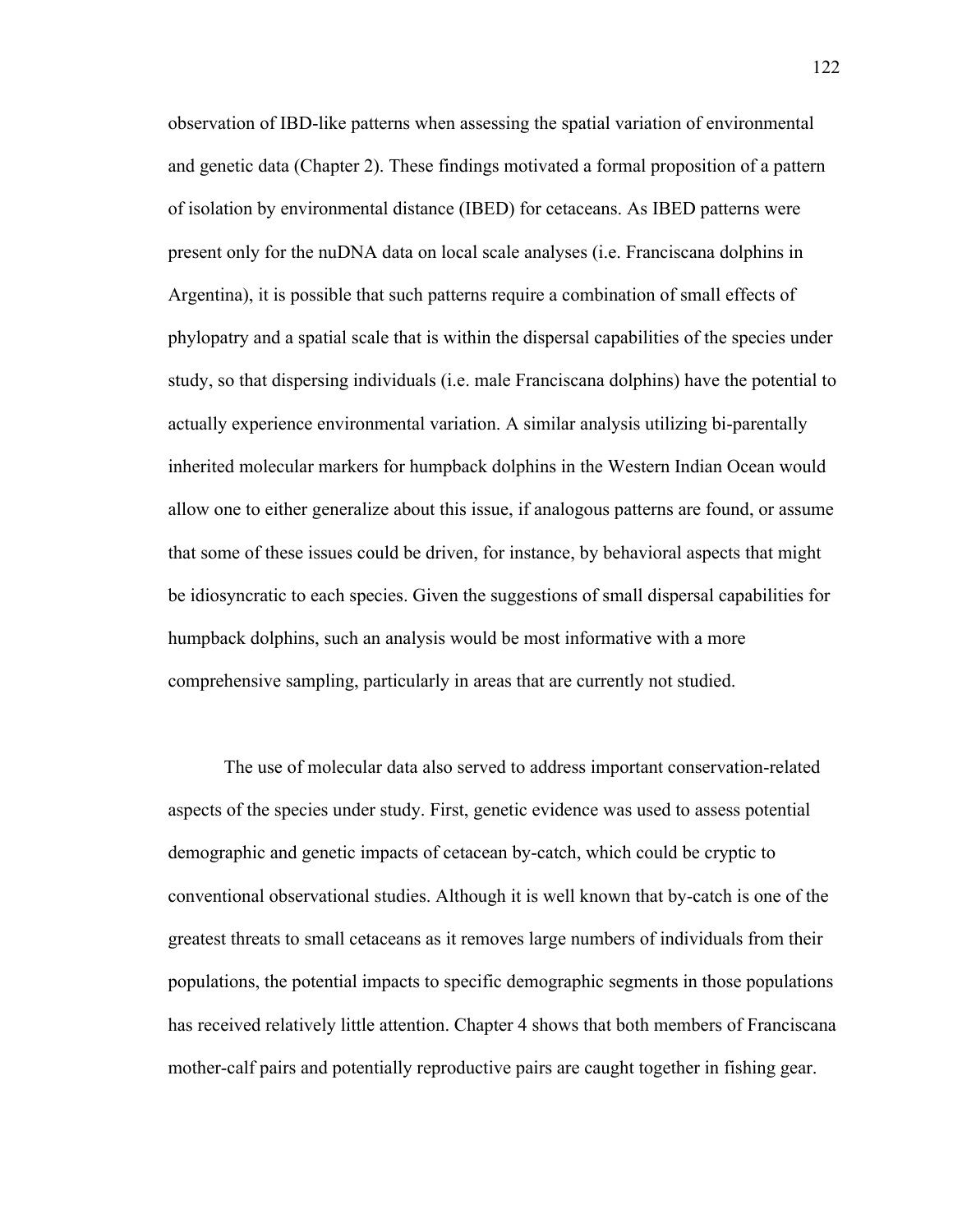observation of IBD-like patterns when assessing the spatial variation of environmental and genetic data (Chapter 2). These findings motivated a formal proposition of a pattern of isolation by environmental distance (IBED) for cetaceans. As IBED patterns were present only for the nuDNA data on local scale analyses (i.e. Franciscana dolphins in Argentina), it is possible that such patterns require a combination of small effects of phylopatry and a spatial scale that is within the dispersal capabilities of the species under study, so that dispersing individuals (i.e. male Franciscana dolphins) have the potential to actually experience environmental variation. A similar analysis utilizing bi-parentally inherited molecular markers for humpback dolphins in the Western Indian Ocean would allow one to either generalize about this issue, if analogous patterns are found, or assume that some of these issues could be driven, for instance, by behavioral aspects that might be idiosyncratic to each species. Given the suggestions of small dispersal capabilities for humpback dolphins, such an analysis would be most informative with a more comprehensive sampling, particularly in areas that are currently not studied.

The use of molecular data also served to address important conservation-related aspects of the species under study. First, genetic evidence was used to assess potential demographic and genetic impacts of cetacean by-catch, which could be cryptic to conventional observational studies. Although it is well known that by-catch is one of the greatest threats to small cetaceans as it removes large numbers of individuals from their populations, the potential impacts to specific demographic segments in those populations has received relatively little attention. Chapter 4 shows that both members of Franciscana mother-calf pairs and potentially reproductive pairs are caught together in fishing gear.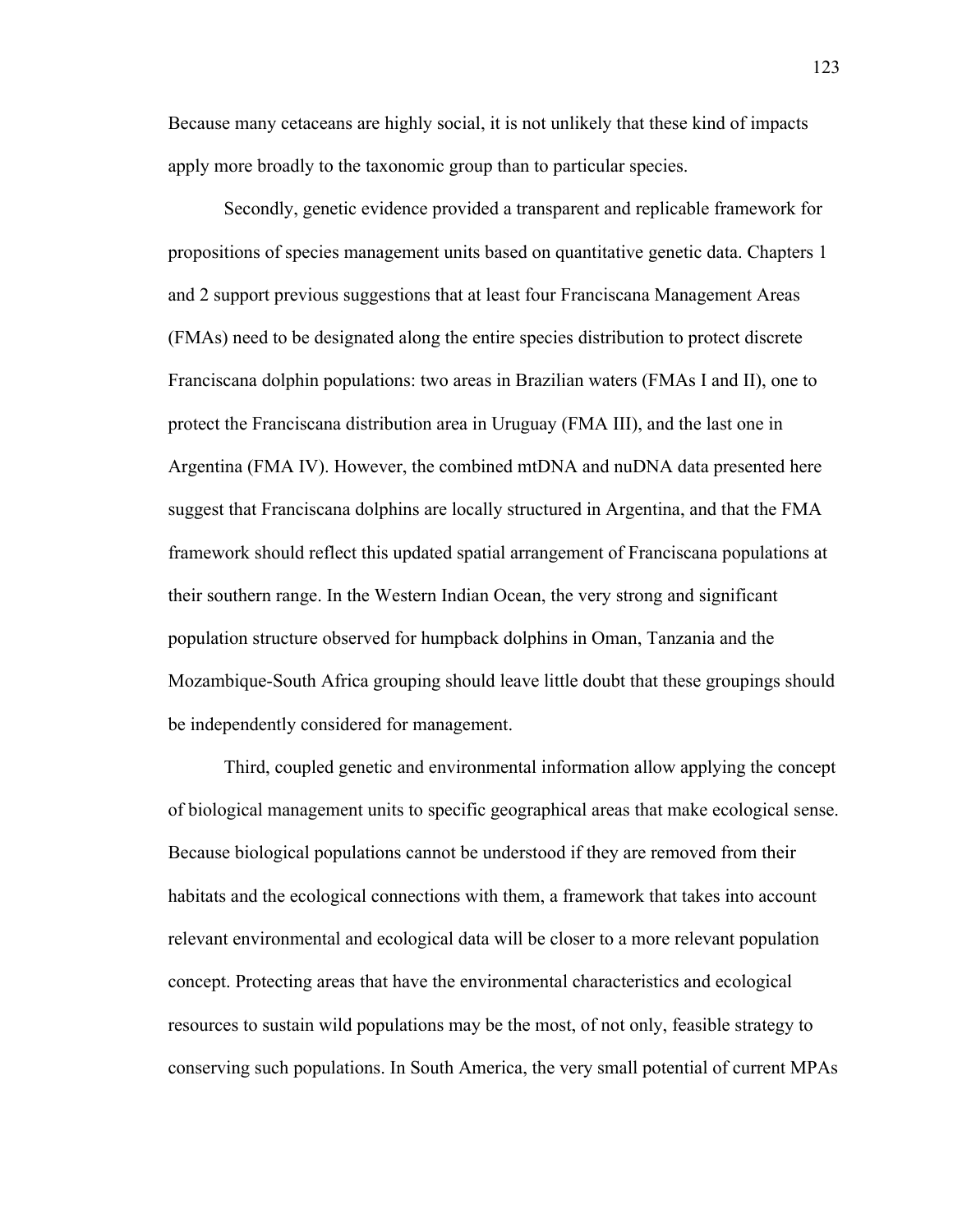Because many cetaceans are highly social, it is not unlikely that these kind of impacts apply more broadly to the taxonomic group than to particular species.

Secondly, genetic evidence provided a transparent and replicable framework for propositions of species management units based on quantitative genetic data. Chapters 1 and 2 support previous suggestions that at least four Franciscana Management Areas (FMAs) need to be designated along the entire species distribution to protect discrete Franciscana dolphin populations: two areas in Brazilian waters (FMAs I and II), one to protect the Franciscana distribution area in Uruguay (FMA III), and the last one in Argentina (FMA IV). However, the combined mtDNA and nuDNA data presented here suggest that Franciscana dolphins are locally structured in Argentina, and that the FMA framework should reflect this updated spatial arrangement of Franciscana populations at their southern range. In the Western Indian Ocean, the very strong and significant population structure observed for humpback dolphins in Oman, Tanzania and the Mozambique-South Africa grouping should leave little doubt that these groupings should be independently considered for management.

Third, coupled genetic and environmental information allow applying the concept of biological management units to specific geographical areas that make ecological sense. Because biological populations cannot be understood if they are removed from their habitats and the ecological connections with them, a framework that takes into account relevant environmental and ecological data will be closer to a more relevant population concept. Protecting areas that have the environmental characteristics and ecological resources to sustain wild populations may be the most, of not only, feasible strategy to conserving such populations. In South America, the very small potential of current MPAs